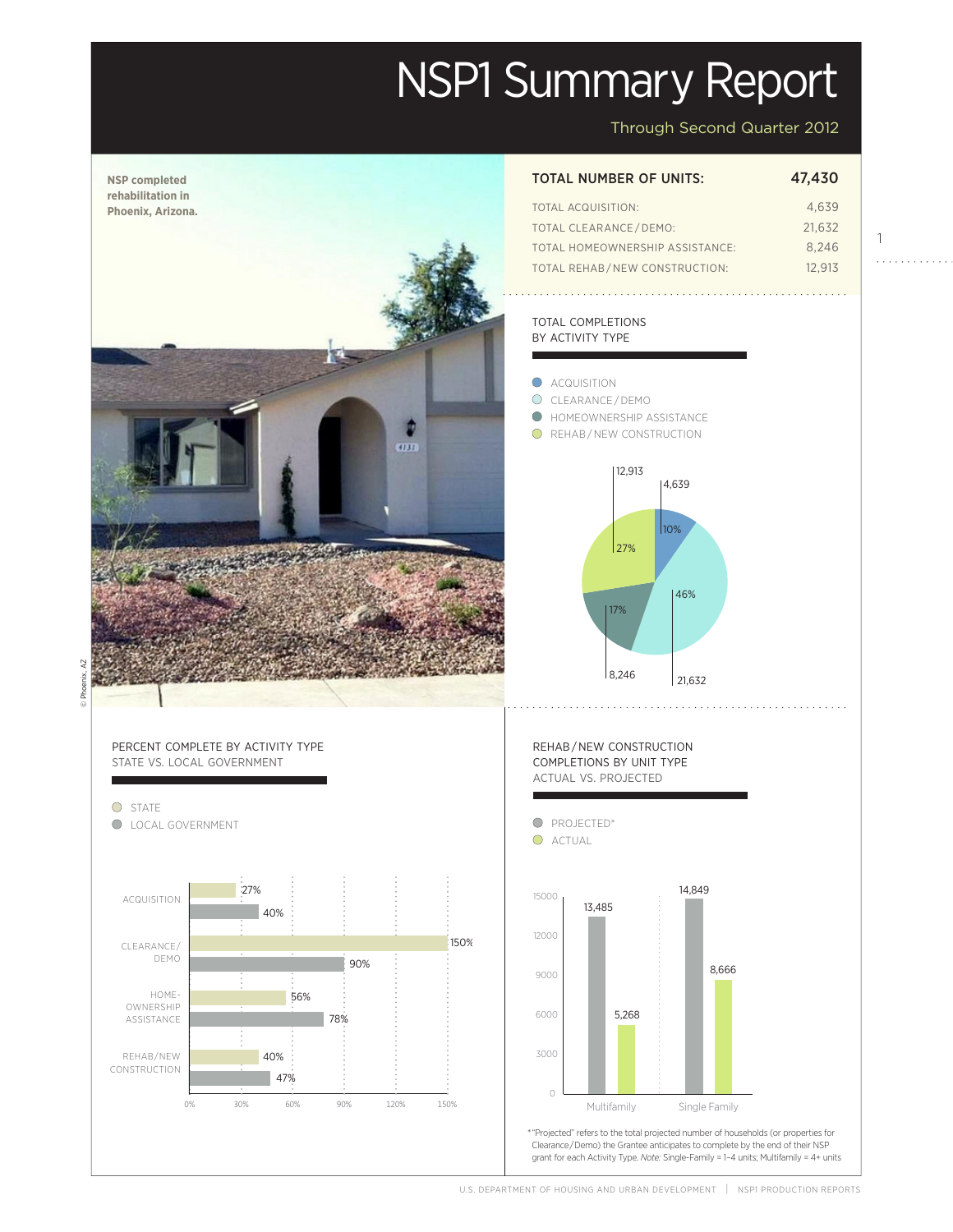# NSP1 Summary Report

Through Second Quarter 2012

1

 $1.1.1.1.1.1.1$ 

Actual

 $\overline{1}$ 

Projected

Projected



U.S. DEPARTMENT OF HOUSING AND URBAN DEVELOPMENT | NSPI PRODUCTION REPORTS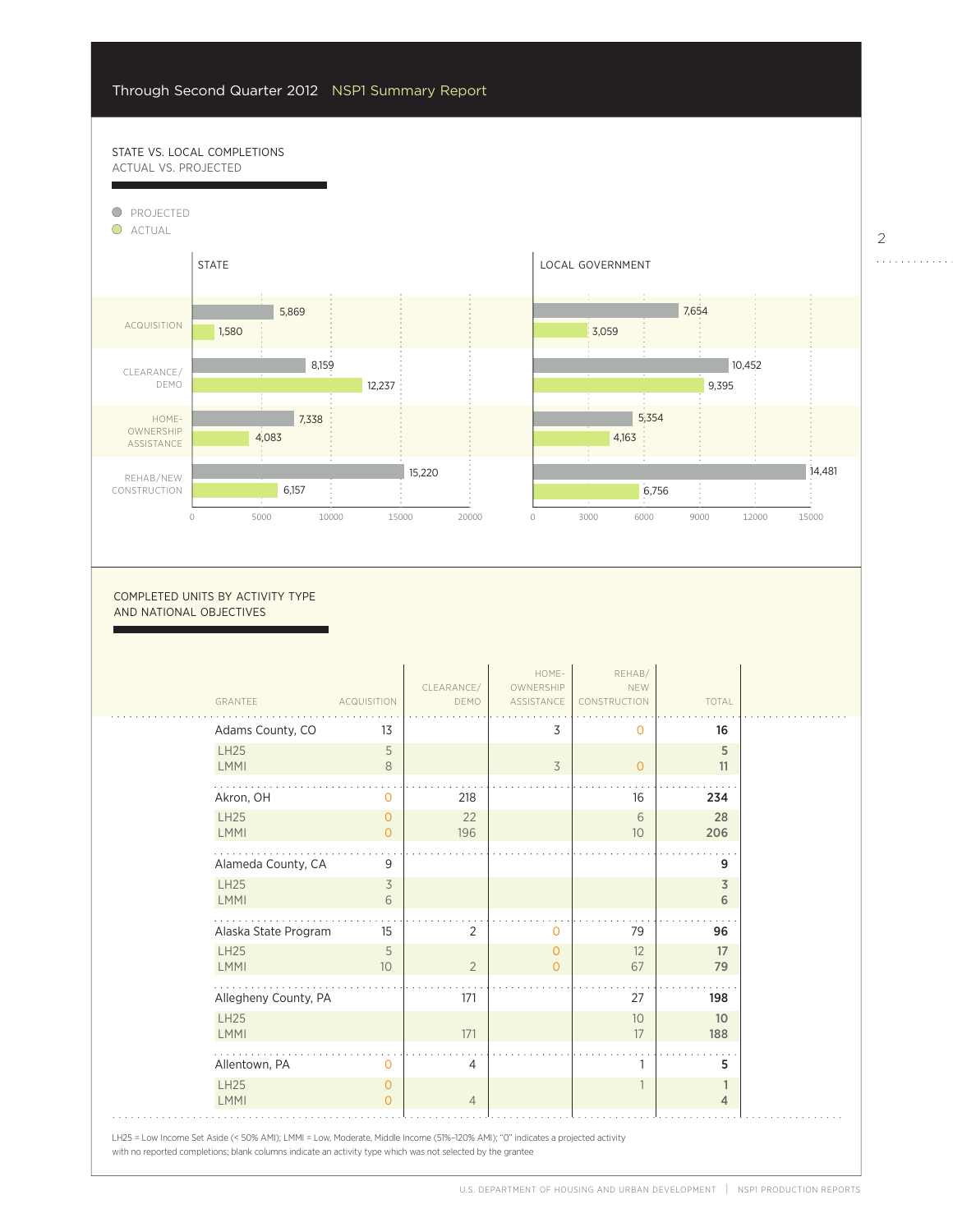47%

## STATE VS. LOCAL COMPLETIONS ACTUAL VS. PROJECTED



0

6000

5,268

#### COMPLETED UNITS BY ACTIVITY TYPE AND NATIONAL OBJECTIVES

| GRANTEE              | <b>ACQUISITION</b> | CLEARANCE/<br>DEMO | HOME-<br>OWNERSHIP<br>ASSISTANCE | REHAB/<br>NEW<br>CONSTRUCTION | TOTAL |
|----------------------|--------------------|--------------------|----------------------------------|-------------------------------|-------|
| Adams County, CO     | 13                 |                    | 3                                | 0                             | 16    |
| <b>LH25</b>          | 5                  |                    |                                  |                               | 5     |
| <b>LMMI</b>          | 8                  |                    | 3                                | $\circ$                       | 11    |
| Akron, OH            | 0                  | 218                |                                  | 16                            | 234   |
| <b>LH25</b>          | $\mathbf{0}$       | 22                 |                                  | 6                             | 28    |
| <b>LMMI</b>          | $\overline{O}$     | 196                |                                  | 10                            | 206   |
| Alameda County, CA   | 9                  |                    |                                  |                               | 9     |
| <b>LH25</b>          | 3                  |                    |                                  |                               | 3     |
| <b>LMMI</b>          | 6                  |                    |                                  |                               | 6     |
| Alaska State Program | 15                 | $\overline{2}$     | 0                                | 79                            | 96    |
| <b>LH25</b>          | 5                  |                    | $\mathbf{0}$                     | 12                            | 17    |
| <b>LMMI</b>          | 10 <sup>°</sup>    | $\overline{2}$     | $\overline{O}$                   | 67                            | 79    |
| Allegheny County, PA |                    | 171                |                                  | 27                            | 198   |
| <b>LH25</b>          |                    |                    |                                  | 10                            | 10    |
| <b>LMMI</b>          |                    | 171                |                                  | 17                            | 188   |
| Allentown, PA        | $\Omega$           | $\overline{4}$     |                                  | 1                             | 5     |
| <b>LH25</b>          | $\mathbf{0}$       |                    |                                  |                               | 1     |
| <b>LMMI</b>          | $\Omega$           | $\overline{4}$     |                                  |                               | 4     |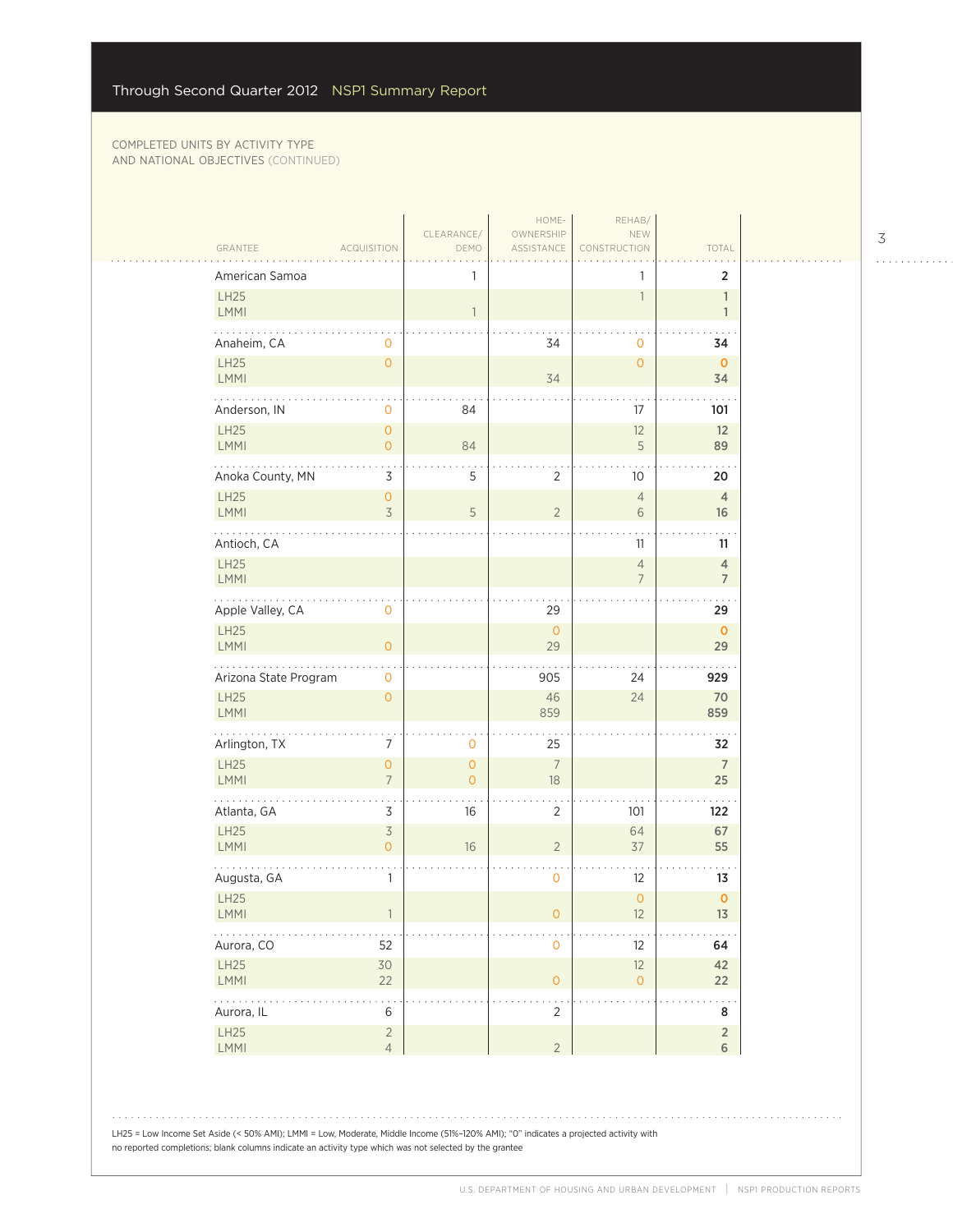| American Samoa             |                                       | 1                         |                      | 1                                | $\overline{2}$                   |
|----------------------------|---------------------------------------|---------------------------|----------------------|----------------------------------|----------------------------------|
| <b>LH25</b><br>LMMI        |                                       | $\mathbf{1}$              |                      | $\overline{1}$                   | $\mathbb{1}$<br>$\mathbf{1}$     |
| Anaheim, CA                | 0                                     |                           | 34                   | $\mathbf 0$                      | 34                               |
| LH25<br>LMMI               | $\mathsf{O}\xspace$                   |                           | 34                   | $\overline{0}$                   | $\mathbf{0}$<br>34               |
| .<br>Anderson, IN          | $\mathbf 0$                           | 84                        |                      | 17                               | 101                              |
| LH25<br>LMMI               | $\mathbf 0$<br>$\circ$                | 84                        |                      | 12<br>5                          | 12<br>89                         |
| Anoka County, MN           | 3                                     | 5                         | $\overline{2}$       | 10                               | 20                               |
| <b>LH25</b><br>LMMI        | $\mathsf{O}\xspace$<br>$\overline{3}$ | 5                         | $\overline{2}$       | $\overline{4}$<br>6              | $\overline{4}$<br>16             |
| Antioch, CA                |                                       |                           |                      | 11                               | 11                               |
| LH25<br>LMMI               |                                       |                           |                      | $\overline{4}$<br>$\overline{7}$ | $\overline{4}$<br>$\overline{7}$ |
| Apple Valley, CA           | $\mathsf{O}\xspace$                   |                           | 29                   |                                  | 29                               |
| LH25<br>LMMI               | $\circ$                               |                           | $\mathsf O$<br>29    |                                  | $\mathbf{O}$<br>29               |
| Arizona State Program      | $\mathbf 0$                           |                           | 905                  | 24                               | 929                              |
| <b>LH25</b><br>LMMI        | $\mathbf{O}$                          |                           | 46<br>859            | 24                               | 70<br>859                        |
| .<br>Arlington, TX         | 7                                     | 0                         | 25                   |                                  | 32                               |
| LH25<br>LMMI               | $\mathsf{O}\xspace$<br>$\overline{7}$ | $\circ$<br>$\overline{O}$ | $\overline{7}$<br>18 |                                  | $\overline{7}$<br>25             |
| Atlanta, GA                | $\star$<br>3                          | 16                        | 2                    | 101                              | 122                              |
| LH25<br>LMMI               | $\overline{3}$<br>$\overline{0}$      | 16                        | $\overline{2}$       | 64<br>37                         | 67<br>55                         |
| Augusta, GA                | $\mathbf{1}$                          |                           | $\mathbf 0$          | 12                               | 13                               |
| <b>LH25</b><br><b>LMMI</b> |                                       |                           | O                    | $\overline{0}$<br>12             | $\mathbf{O}$<br>13               |
| Aurora, CO                 | 52                                    |                           | $\mathbf 0$          | 12                               | 64                               |
| LH25<br>LMMI               | 30<br>22                              |                           | $\mathsf{O}\xspace$  | 12<br>$\mathbf{O}$               | 42<br>22                         |
| .<br>Aurora, IL            | $\,$ 6 $\,$                           |                           | 2                    |                                  | 8                                |
| LH25                       | $\overline{2}$<br>$\overline{4}$      |                           | $\overline{2}$       |                                  | $\sqrt{2}$<br>6                  |

3

. . . . . . . . . . . .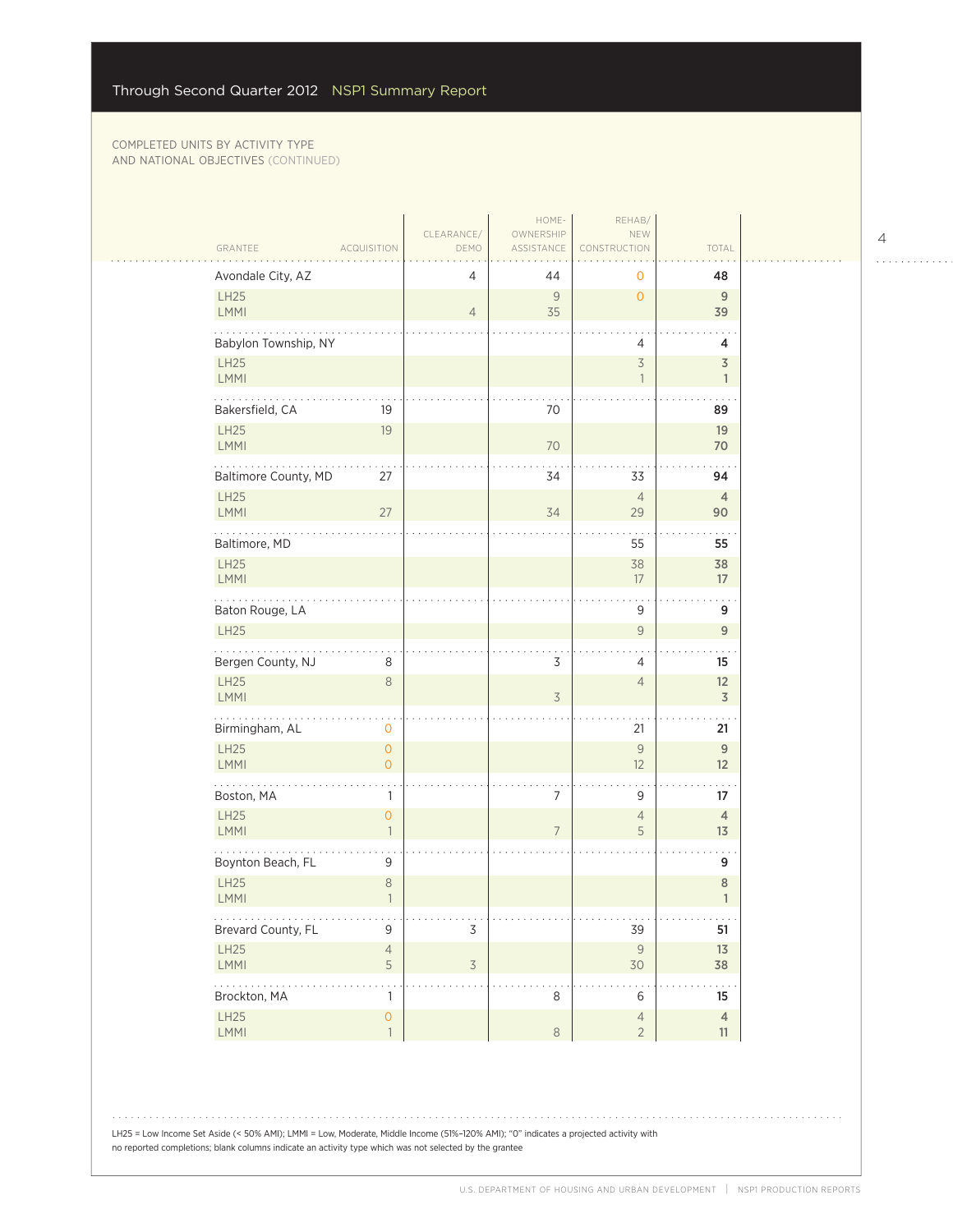لتنبيب

| GRANTEE<br><b>ACQUISITION</b>                                       | CLEARANCE/<br>DEMO | HOME-<br>OWNERSHIP<br>ASSISTANCE | REHAB/<br>NEW<br>CONSTRUCTION    | TOTAL                      |
|---------------------------------------------------------------------|--------------------|----------------------------------|----------------------------------|----------------------------|
| Avondale City, AZ                                                   | 4                  | 44                               | 0                                | 48                         |
| LH25                                                                |                    | 9                                | $\overline{0}$                   | 9                          |
| LMMI                                                                | $\overline{4}$     | 35                               |                                  | 39                         |
| Babylon Township, NY<br>LH25                                        |                    |                                  | 4<br>$\overline{\mathcal{S}}$    | 4<br>$\overline{3}$        |
| LMMI                                                                |                    |                                  | $\mathbf{1}$                     | $\mathbf{1}$               |
| .<br>Bakersfield, CA<br>19                                          |                    | 70                               |                                  | 89                         |
| LH25<br>19<br><b>LMMI</b>                                           |                    | 70                               |                                  | 19<br>70                   |
| Baltimore County, MD<br>27                                          |                    | 34                               | 33                               | 94                         |
| <b>LH25</b><br><b>LMMI</b><br>27                                    |                    | 34                               | $\overline{4}$<br>29             | $\overline{4}$<br>90       |
| Baltimore, MD                                                       |                    |                                  | 55                               | 55                         |
| <b>LH25</b><br><b>LMMI</b>                                          |                    |                                  | 38<br>17                         | 38<br>17                   |
| Baton Rouge, LA                                                     |                    |                                  | 9                                | 9                          |
| <b>LH25</b>                                                         |                    |                                  | 9                                | 9                          |
| Bergen County, NJ<br>8                                              |                    | 3                                | 4                                | 15                         |
| LH25<br>$\,8\,$<br><b>LMMI</b>                                      |                    | $\overline{3}$                   | $\overline{4}$                   | 12<br>$\overline{3}$       |
| .<br>Birmingham, AL<br>$\mathbf 0$                                  |                    |                                  | 21                               | 21                         |
| $\mathsf{O}\xspace$<br><b>LH25</b><br>LMMI<br>$\overline{O}$        |                    |                                  | $\mathcal{G}$<br>12              | $\overline{9}$<br>12       |
| Boston, MA<br>1                                                     |                    | $\overline{7}$                   | 9                                | 17                         |
| <b>LH25</b><br>$\mathsf{O}\xspace$<br><b>LMMI</b><br>$\overline{1}$ |                    | $\overline{7}$                   | $\overline{4}$<br>5              | $\overline{4}$<br>13       |
| Boynton Beach, FL<br>9                                              |                    |                                  |                                  | 9                          |
| LH25<br>$\,8\,$<br>LMMI<br>$\overline{1}$                           |                    |                                  |                                  | $\,$ 8<br>$\mathbf{1}$     |
| .<br>$\mathsf 9$<br>Brevard County, FL                              | $\mathsf 3$        |                                  | 39                               | $\sim$ $\sim$ $\sim$<br>51 |
| <b>LH25</b><br>$\sqrt{4}$<br>5<br><b>LMMI</b>                       | $\overline{3}$     |                                  | $\mathcal{G}$<br>$30$            | 13<br>38                   |
| .<br>Brockton, MA<br>1                                              |                    | 8                                | 6                                | .<br>15                    |
| $\overline{0}$<br>LH25<br>LMMI<br>$\overline{1}$                    |                    | $\,8\,$                          | $\overline{4}$<br>$\overline{2}$ | $\overline{4}$<br>11       |

LH25 = Low Income Set Aside (< 50% AMI); LMMI = Low, Moderate, Middle Income (51%–120% AMI); "0" indicates a projected activity with no reported completions; blank columns indicate an activity type which was not selected by the grantee

4

 $\begin{array}{cccccccccccccc} . & . & . & . & . & . & . & . & . & . & . & . & . \end{array}$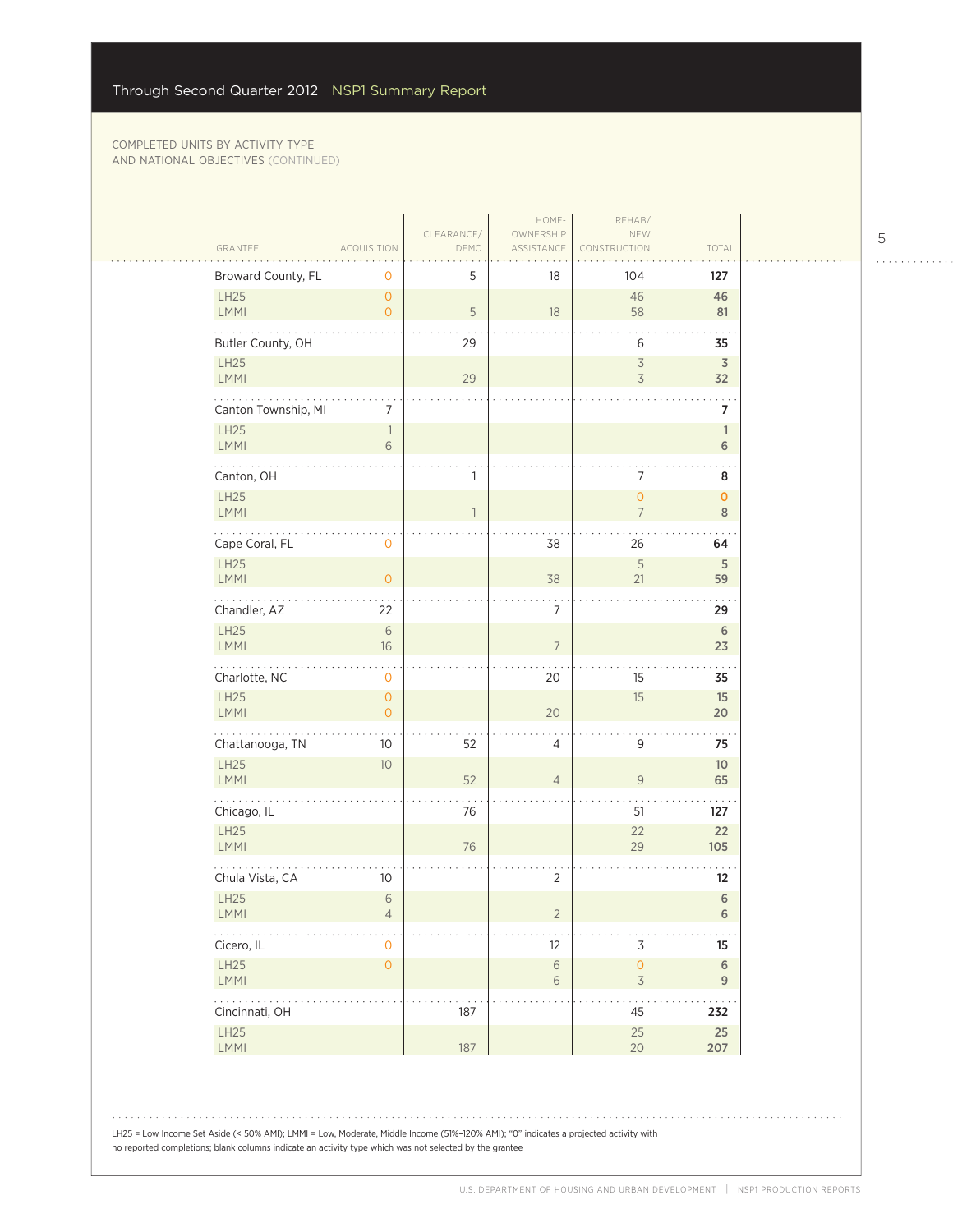| GRANTEE                                                        | <b>ACQUISITION</b>               | CLEARANCE/<br>DEMO | HOME-<br>OWNERSHIP<br>ASSISTANCE | REHAB/<br>NEW<br>CONSTRUCTION                        | TOTAL                      |
|----------------------------------------------------------------|----------------------------------|--------------------|----------------------------------|------------------------------------------------------|----------------------------|
| Broward County, FL                                             | 0                                | 5                  | 18                               | 104                                                  | 127                        |
| LH25<br>LMMI                                                   | $\overline{O}$<br>$\overline{O}$ | 5                  | 18                               | 46<br>58                                             | 46<br>81                   |
| Butler County, OH                                              |                                  | 29                 |                                  | 6                                                    | .<br>35                    |
| <b>LH25</b><br><b>LMMI</b>                                     |                                  | 29                 |                                  | $\overline{\mathcal{S}}$<br>$\overline{\mathcal{S}}$ | $\overline{3}$<br>32       |
| Canton Township, MI                                            | 7                                |                    |                                  |                                                      | 7                          |
| <b>LH25</b><br><b>LMMI</b>                                     | $\mathbb{1}$<br>6                |                    |                                  |                                                      | $\mathbf{1}$<br>6          |
| Canton, OH                                                     |                                  | 1                  |                                  | 7                                                    | 8                          |
| LH25<br><b>LMMI</b>                                            |                                  | 1                  |                                  | $\overline{0}$<br>$\overline{7}$                     | $\mathbf{O}$<br>8          |
| Cape Coral, FL                                                 | 0                                |                    | 38                               | 26                                                   | 64                         |
| <b>LH25</b><br>LMMI                                            | $\overline{O}$                   |                    | 38                               | 5<br>21                                              | 5<br>59                    |
| Chandler, AZ                                                   | 22                               |                    | $\overline{7}$                   |                                                      | 29                         |
| LH25<br>LMMI                                                   | 6<br>16                          |                    | $\overline{7}$                   |                                                      | 6<br>23                    |
| Charlotte, NC                                                  | 0                                |                    | 20                               | 15                                                   | 35                         |
| LH25<br>LMMI                                                   | $\overline{0}$<br>$\overline{O}$ |                    | 20                               | 15                                                   | 15<br>20                   |
| .<br>Chattanooga, TN                                           | 10                               | 52                 | 4                                | 9                                                    | 75                         |
| LH25<br>LMMI                                                   | 10                               | 52                 | $\overline{4}$                   | $\overline{9}$                                       | 10 <sup>°</sup><br>65      |
| Chicago, IL                                                    |                                  | 76                 |                                  | 51                                                   | 127                        |
| <b>LH25</b><br>LMMI                                            |                                  | 76                 |                                  | 22<br>29                                             | 22<br>105                  |
| Chula Vista, CA                                                | 10 <sup>°</sup>                  |                    | $\overline{2}$                   |                                                      | $12 \overline{ }$          |
| LH25<br>LMMI                                                   | 6<br>$\overline{4}$              |                    | $\overline{2}$                   |                                                      | $\,$ 6 $\,$<br>$\,$ 6 $\,$ |
| $\mathbb{Z}^2$ , $\mathbb{Z}^2$ , $\mathbb{Z}^2$<br>Cicero, IL | $\overline{0}$                   |                    | 12                               | $\mathsf 3$                                          | 15                         |
| LH25<br>LMMI                                                   | $\mathsf{O}\xspace$              |                    | $\,$ $\,$ $\,$<br>6              | $\mathsf{O}$<br>$\overline{\mathcal{S}}$             | $6\,$<br>$9\,$             |
| $\mathbb{Z}^2$ . The set of $\mathbb{Z}^2$<br>Cincinnati, OH   |                                  | 187                |                                  | 45                                                   | 232                        |
| LH25<br>LMMI                                                   |                                  | 187                |                                  | 25<br>20                                             | 25<br>207                  |

 $\begin{array}{cccccccccccccc} . & . & . & . & . & . & . & . & . & . & . & . & . \end{array}$ 

 $1.1.1.1.1.1.1.1.1.1$ 

LH25 = Low Income Set Aside (< 50% AMI); LMMI = Low, Moderate, Middle Income (51%–120% AMI); "0" indicates a projected activity with no reported completions; blank columns indicate an activity type which was not selected by the grantee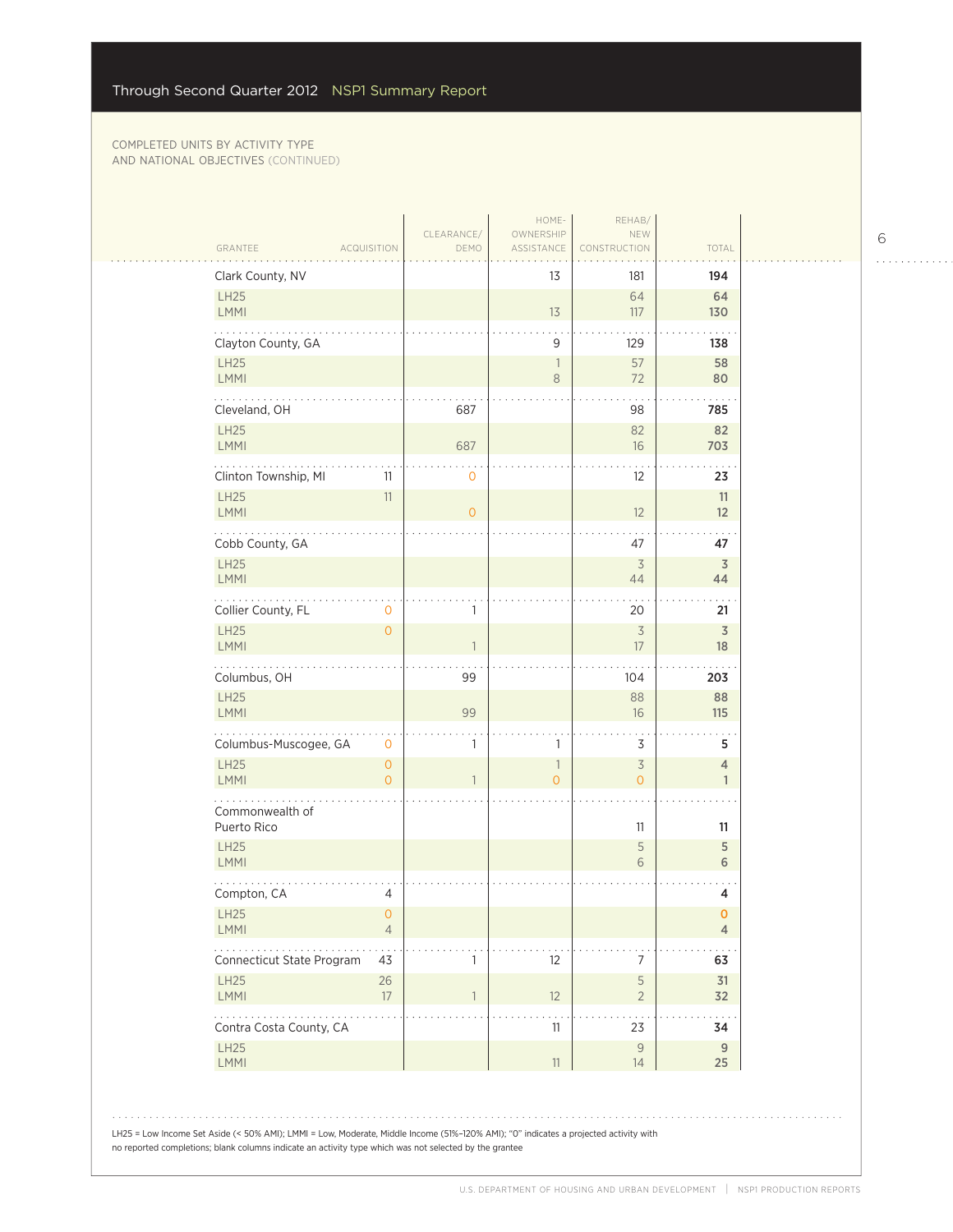| Clark County, NV                                                        |                                       |                | 13                  | 181                              | 194                            |
|-------------------------------------------------------------------------|---------------------------------------|----------------|---------------------|----------------------------------|--------------------------------|
| <b>LH25</b><br>LMMI                                                     |                                       |                | 13                  | 64<br>117                        | 64<br>130                      |
| Clayton County, GA                                                      |                                       |                | 9                   | 129                              | 138                            |
| <b>LH25</b><br>LMMI                                                     |                                       |                | -1<br>8             | 57<br>72                         | 58<br>80                       |
| Cleveland, OH                                                           |                                       | 687            |                     | 98                               | 785                            |
| LH25<br>LMMI                                                            |                                       | 687            |                     | 82<br>16                         | 82<br>703                      |
| Clinton Township, MI                                                    | 11                                    | $\circ$        |                     | 12                               | 23                             |
| <b>LH25</b><br>LMMI                                                     | $11\,$                                | $\overline{O}$ |                     | 12                               | 11<br>12                       |
| Cobb County, GA                                                         |                                       |                |                     | 47                               | 47                             |
| <b>LH25</b><br>LMMI                                                     |                                       |                |                     | $\overline{3}$<br>44             | $\overline{3}$<br>44           |
| Collier County, FL                                                      | $\mathbf 0$                           |                |                     | 20                               | 21                             |
| <b>LH25</b><br><b>LMMI</b>                                              | $\overline{O}$                        |                |                     | $\overline{3}$<br>17             | $\overline{\mathsf{3}}$<br>18  |
| Columbus, OH                                                            |                                       | 99             |                     | 104                              | 203                            |
| <b>LH25</b><br>LMMI                                                     |                                       | 99             |                     | 88<br>16                         | 88<br>115                      |
| Columbus-Muscogee, GA                                                   | $\mathbf 0$                           | 1              | 1                   | 3                                | 5                              |
| <b>LH25</b><br>LMMI                                                     | $\mathsf{O}\xspace$<br>$\overline{O}$ | $\mathbf{1}$   | 1<br>$\overline{O}$ | $\overline{3}$<br>$\overline{O}$ | $\overline{4}$<br>$\mathbf{1}$ |
| Commonwealth of<br>Puerto Rico                                          |                                       |                |                     | 11                               | 11                             |
| <b>LH25</b><br>LMMI                                                     |                                       |                |                     | 5<br>6                           | 5<br>6                         |
| Compton, CA                                                             | 4                                     |                |                     |                                  | 4                              |
| LH25<br>LMMI                                                            | $\cup$<br>$\overline{4}$              |                |                     |                                  | o<br>$\overline{4}$            |
| $\mathbb{Z}^2$ . The set of $\mathbb{Z}^2$<br>Connecticut State Program | 43                                    | 1              | 12                  | 7                                | 63                             |
| LH25<br><b>LMMI</b>                                                     | 26<br>17                              | $\mathbf{1}$   | 12                  | 5<br>$\overline{2}$              | 31<br>32                       |
| Contra Costa County, CA                                                 |                                       |                | 11                  | $\sim$<br>23                     | $\sim$<br>34                   |
| LH25<br>LMMI                                                            |                                       |                | $11\,$              | $\mathsf{9}$<br>14               | $\boldsymbol{9}$<br>25         |
|                                                                         |                                       |                |                     |                                  |                                |

6

. . . . . . . . . . . .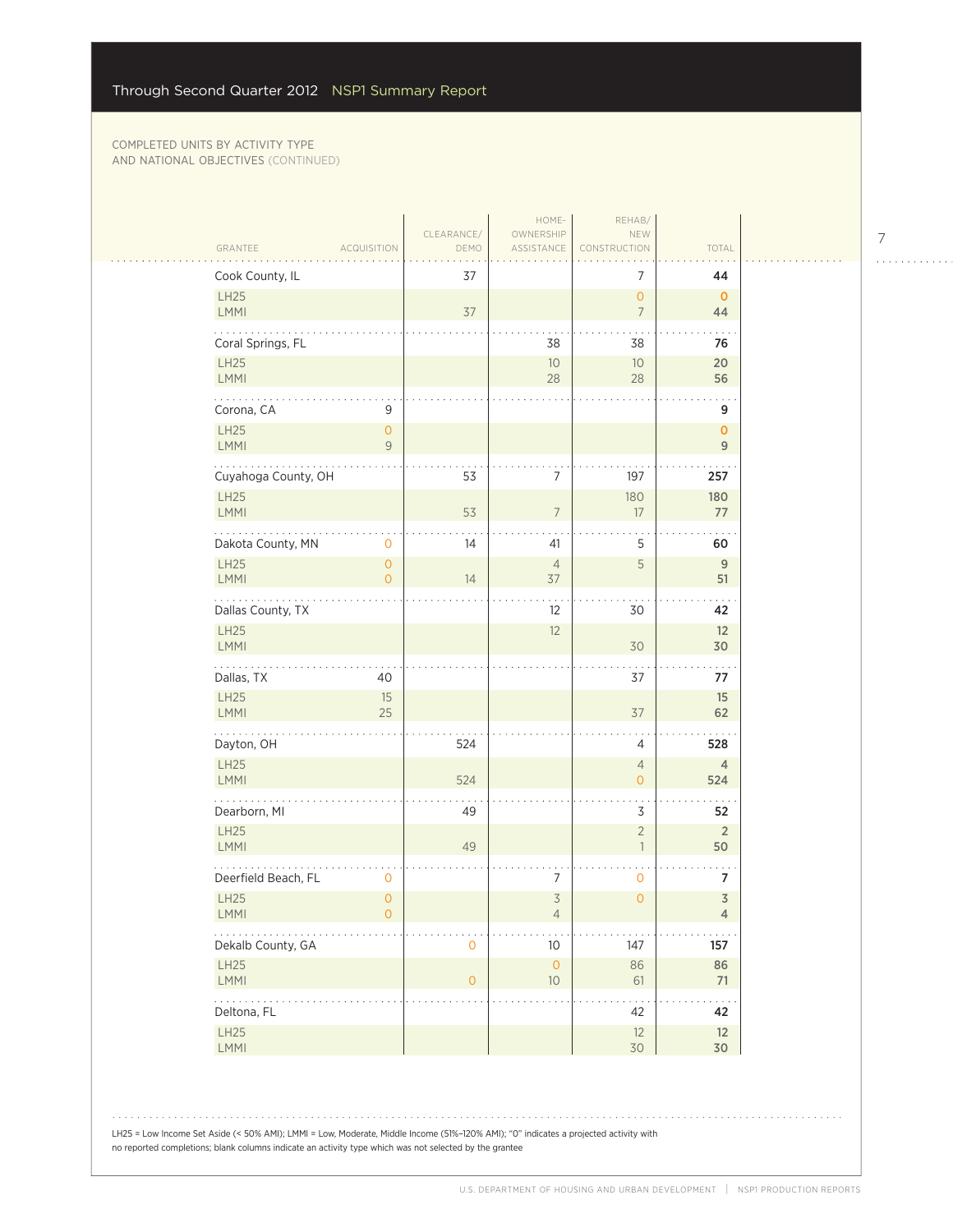$\sim$  .  $\sim$ 

|                                                        | CLEARANCE/          | HOME-<br>OWNERSHIP               | REHAB/<br>NEW                    |                                  |
|--------------------------------------------------------|---------------------|----------------------------------|----------------------------------|----------------------------------|
| GRANTEE<br><b>ACQUISITION</b>                          | DEMO                | ASSISTANCE                       | CONSTRUCTION                     | TOTAL                            |
| Cook County, IL                                        | 37                  |                                  | 7                                | 44                               |
| LH25<br><b>LMMI</b>                                    | 37                  |                                  | $\overline{0}$<br>$\overline{7}$ | $\mathbf{0}$<br>44               |
| Coral Springs, FL                                      |                     | 38                               | 38                               | 76                               |
| <b>LH25</b><br>LMMI                                    |                     | $10$<br>28                       | 10<br>28                         | 20<br>56                         |
| 9<br>Corona, CA                                        |                     |                                  |                                  | 9                                |
| LH25<br>$\overline{O}$<br><b>LMMI</b><br>9             |                     |                                  |                                  | 0<br>9                           |
| .<br>Cuyahoga County, OH                               | 53                  | 7                                | 197                              | 257                              |
| LH25<br>LMMI                                           | 53                  | $\overline{7}$                   | 180<br>17                        | 180<br>77                        |
| Dakota County, MN<br>$\mathbf 0$                       | 14                  | 41                               | 5                                | 60                               |
| <b>LH25</b><br>$\mathsf{O}\xspace$<br>LMMI<br>$\Omega$ | 14                  | $\overline{4}$<br>37             | 5                                | $\overline{9}$<br>51             |
| .<br>Dallas County, TX                                 |                     | 12                               | 30                               | 42                               |
| LH25<br><b>LMMI</b>                                    |                     | 12                               | 30                               | 12<br>30                         |
| Dallas, TX<br>40                                       |                     |                                  | 37                               | 77                               |
| LH25<br>15<br>LMMI<br>25                               |                     |                                  | 37                               | 15<br>62                         |
| Dayton, OH                                             | 524                 |                                  | 4                                | 528                              |
| <b>LH25</b><br>LMMI                                    | 524                 |                                  | $\overline{4}$<br>$\overline{0}$ | $\overline{4}$<br>524            |
| Dearborn, MI                                           | 49                  |                                  | 3                                | 52                               |
| <b>LH25</b><br><b>LMMI</b>                             | 49                  |                                  | $\overline{2}$<br>$\mathbf{1}$   | $\overline{2}$<br>50             |
| Deerfield Beach, FL<br>0                               |                     | 7                                | 0                                | 7                                |
| <b>LH25</b><br>$\mathsf{O}\xspace$<br>LMMI<br>$\circ$  |                     | $\overline{3}$<br>$\overline{4}$ | $\overline{0}$                   | $\overline{3}$<br>$\overline{4}$ |
| Dekalb County, GA                                      | $\mathbf{O}$        | $10$                             | 147                              | 157                              |
| LH25<br>LMMI                                           | $\mathsf{O}\xspace$ | $\mathsf{O}\xspace$<br>10        | 86<br>61                         | 86<br>71                         |
| .<br>Deltona, FL                                       |                     |                                  | 42                               | 42                               |
| LH25<br>LMMI                                           |                     |                                  | 12<br>30                         | 12<br>30                         |

7  $\begin{array}{cccccccccccccc} . & . & . & . & . & . & . & . & . & . & . & . & . \end{array}$ 

LH25 = Low Income Set Aside (< 50% AMI); LMMI = Low, Moderate, Middle Income (51%–120% AMI); "0" indicates a projected activity with no reported completions; blank columns indicate an activity type which was not selected by the grantee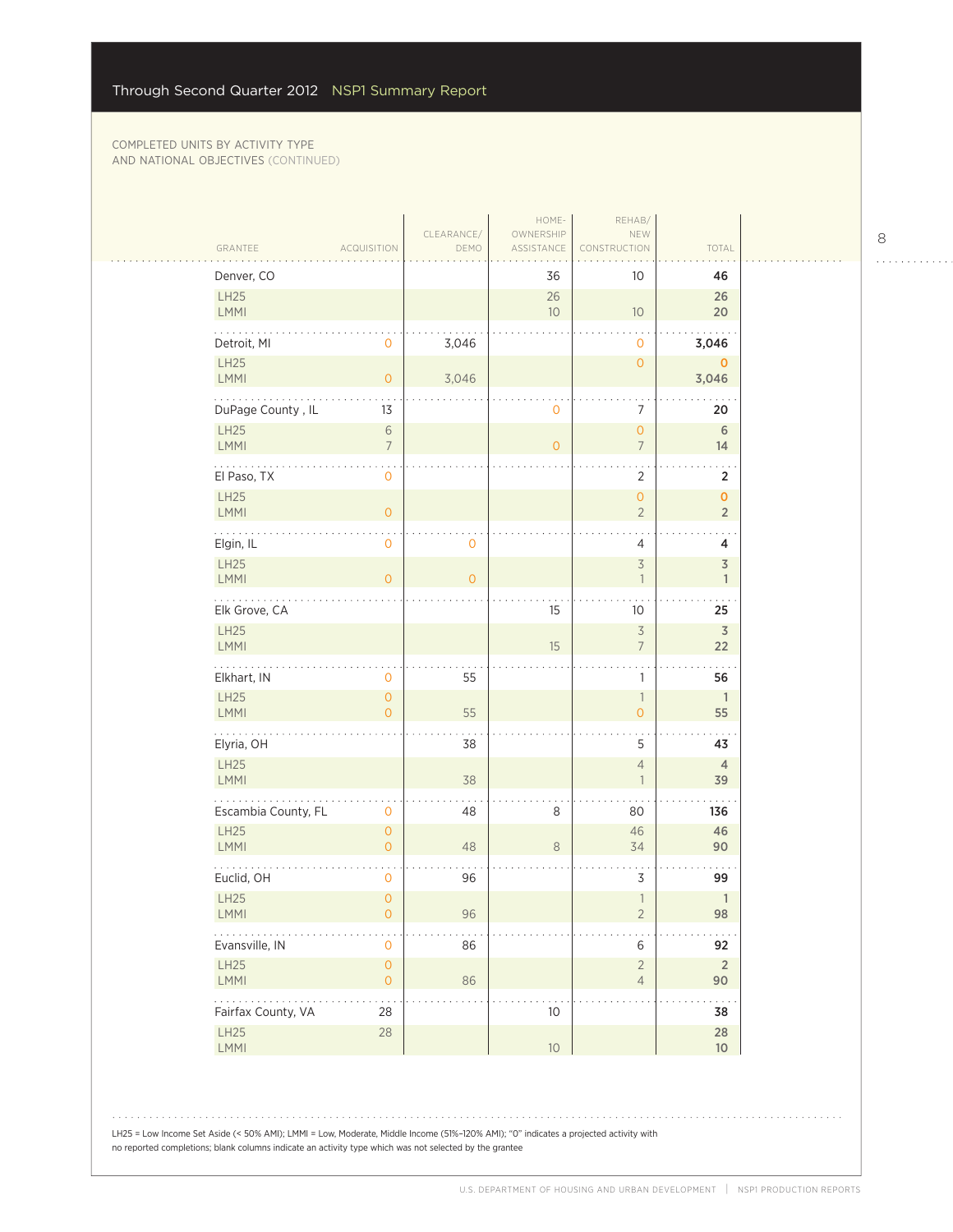| GRANTEE                                                | <b>ACQUISITION</b>                 | CLEARANCE/<br>DEMO | HOME-<br>OWNERSHIP<br>ASSISTANCE | REHAB/<br>NEW<br><b>RUCTION</b>            | TOTAL                          |
|--------------------------------------------------------|------------------------------------|--------------------|----------------------------------|--------------------------------------------|--------------------------------|
| Denver, CO                                             |                                    |                    | 36                               | 10 <sup>°</sup>                            | 46                             |
| LH25<br>LMMI                                           |                                    |                    | 26<br>10                         | $10$                                       | 26<br>20                       |
| Detroit, MI                                            | 0                                  | 3,046              |                                  | $\mathbf 0$                                | 3,046                          |
| LH25<br>LMMI                                           | $\overline{0}$                     | 3,046              |                                  | $\mathsf{O}\xspace$                        | $\mathbf 0$<br>3,046           |
| DuPage County, IL                                      | 13                                 |                    | 0                                | $\overline{7}$                             | 20                             |
| LH25<br>LMMI                                           | $\,$ 6 $\,$<br>$\overline{7}$      |                    | $\overline{0}$                   | $\overline{O}$<br>$7\overline{ }$          | $\,$ 6 $\,$<br>14              |
| El Paso, TX                                            | $\mathbf{O}$                       |                    |                                  | $\overline{2}$                             | $\overline{2}$                 |
| LH25<br><b>LMMI</b>                                    | $\mathsf O$                        |                    |                                  | $\mathsf{O}\xspace$<br>$\overline{2}$      | $\pmb{0}$<br>$\sqrt{2}$        |
| Elgin, IL                                              | $\mathsf{O}\xspace$                | 0                  |                                  | 4                                          | 4                              |
| <b>LH25</b><br>LMMI                                    | $\overline{O}$                     | $\overline{O}$     |                                  | $\overline{\mathcal{S}}$<br>$\overline{1}$ | $\mathfrak Z$<br>$\mathbb{1}$  |
| $\mathbb{Z}$ is a set of $\mathbb{Z}$<br>Elk Grove, CA |                                    |                    | 15                               | 10 <sup>°</sup>                            | 25                             |
| LH25<br>LMMI                                           |                                    |                    | 15                               | $\overline{\mathcal{S}}$<br>$\overline{7}$ | $\overline{\mathsf{3}}$<br>22  |
| Elkhart, IN                                            | 0                                  | 55                 |                                  | 1                                          | 56                             |
| LH25<br>LMMI                                           | 0<br>$\overline{0}$                | 55                 |                                  | $\overline{1}$<br>$\mathsf{O}\xspace$      | $\overline{\phantom{a}}$<br>55 |
| .<br>Elyria, OH                                        |                                    | 38                 |                                  | 5                                          | 43                             |
| LH25<br><b>LMMI</b>                                    |                                    | 38                 |                                  | $\overline{4}$<br>$\overline{1}$           | $\overline{4}$<br>39           |
| Escambia County, FL                                    | $\mathsf{O}\xspace$                | 48                 | 8                                | 80                                         | 136                            |
| LH25<br>LMMI                                           | $\circ$<br>$\mathsf{O}\xspace$     | 48                 | $\,8\,$                          | 46<br>34                                   | 46<br>90                       |
| Euclid, OH                                             | $\mathbf{O}$                       | 96                 |                                  | 3                                          | 99                             |
| LH25<br>LMMI                                           | 0<br>$\overline{0}$                | $96\,$             |                                  | $\mathbf{1}$<br>$\overline{2}$             | $\mathbb{1}$<br>98             |
| $\alpha$ , $\alpha$ , $\alpha$<br>Evansville, IN       | $\mathsf{O}\xspace$                | 86                 |                                  | 6                                          | 92                             |
| LH25<br>LMMI                                           | $\mathsf{O}\xspace$<br>$\mathsf O$ | 86                 |                                  | $\overline{2}$<br>$\overline{4}$           | $\overline{2}$<br>90           |
| .                                                      | $\sim$ $\sim$<br>28                |                    | $10$                             |                                            | $\sim$<br>38                   |
| Fairfax County, VA                                     |                                    |                    |                                  |                                            |                                |

LH25 = Low Income Set Aside (< 50% AMI); LMMI = Low, Moderate, Middle Income (51%–120% AMI); "0" indicates a projected activity with no reported completions; blank columns indicate an activity type which was not selected by the grantee

8

 $\begin{array}{cccccccccccccc} . & . & . & . & . & . & . & . & . & . & . & . & . \end{array}$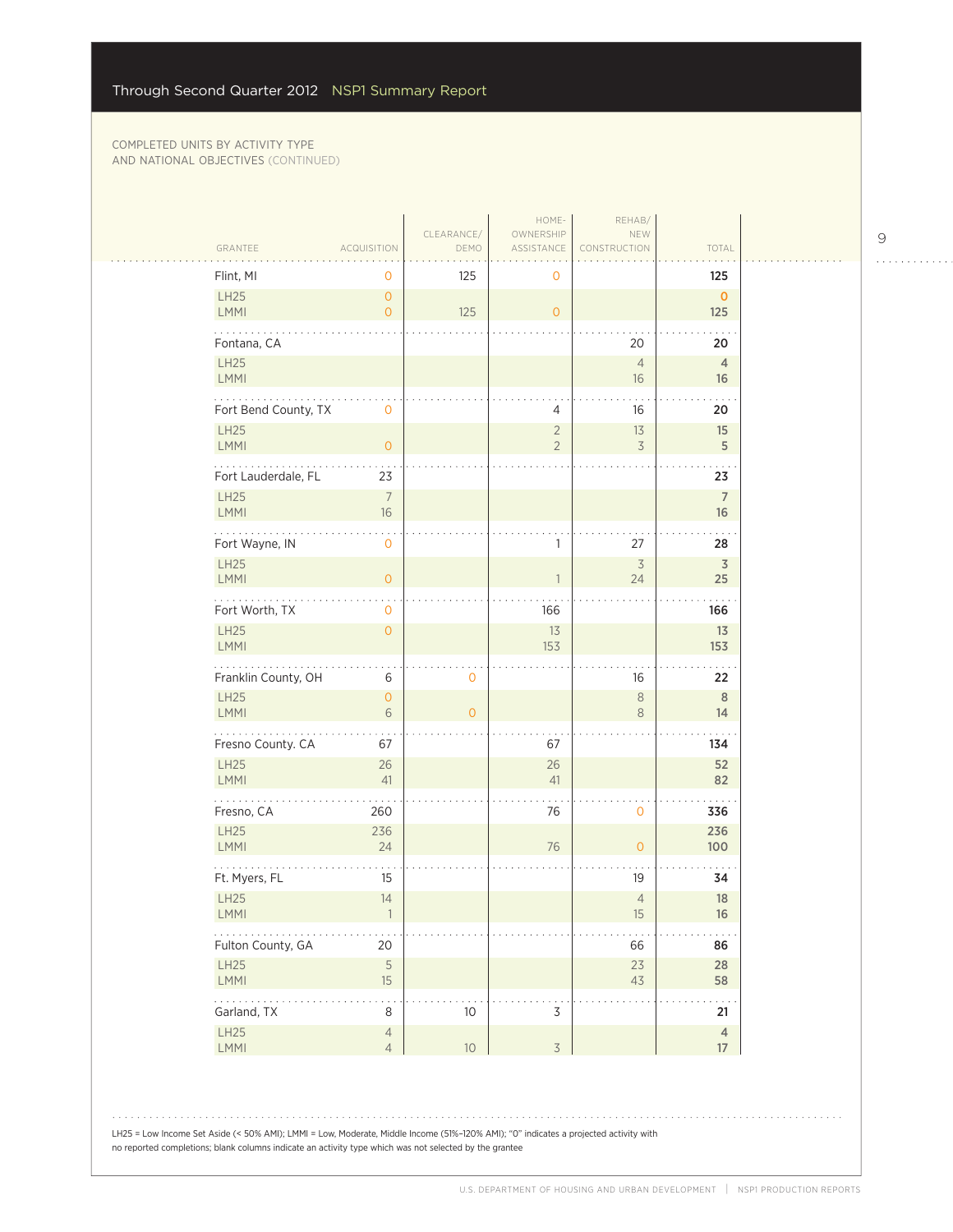$\mathcal{L}_{\mathcal{A}}$ 

| GRANTEE                                                                                          | <b>ACQUISITION</b>               | CLEARANCE/<br>DEMO  | HOME-<br>OWNERSHIP<br>ASSISTANCE | REHAB/<br>NEW<br>CONSTRUCTION | TOTAL                         |
|--------------------------------------------------------------------------------------------------|----------------------------------|---------------------|----------------------------------|-------------------------------|-------------------------------|
| Flint, MI                                                                                        | 0                                | 125                 | 0                                |                               | 125                           |
| LH25<br>LMMI                                                                                     | $\mathbf{O}$<br>$\overline{O}$   | 125                 | $\mathsf{O}\xspace$              |                               | $\mathbf{O}$<br>125           |
| Fontana, CA                                                                                      |                                  |                     |                                  | 20                            | 20                            |
| LH25<br><b>LMMI</b>                                                                              |                                  |                     |                                  | $\overline{4}$<br>16          | $\overline{4}$<br>16          |
| Fort Bend County, TX                                                                             | $\mathbf 0$                      |                     | 4                                | 16                            | 20                            |
| <b>LH25</b>                                                                                      |                                  |                     | $\overline{2}$                   | 13                            | 15                            |
| LMMI                                                                                             | $\mathsf{O}\xspace$              |                     | $\overline{2}$                   | 3                             | $\sqrt{5}$                    |
| Fort Lauderdale, FL<br><b>LH25</b>                                                               | 23<br>$\overline{7}$             |                     |                                  |                               | 23<br>$\overline{7}$          |
| LMMI                                                                                             | $16\,$                           |                     |                                  |                               | 16                            |
| Fort Wayne, IN                                                                                   | $\mathbf 0$                      |                     | 1                                | 27                            | 28                            |
| LH25<br>LMMI                                                                                     | $\overline{0}$                   |                     |                                  | $\overline{3}$<br>24          | $\overline{\mathsf{3}}$<br>25 |
| .<br>Fort Worth, TX                                                                              | 0                                |                     | 166                              |                               | 166                           |
| <b>LH25</b><br>LMMI                                                                              | $\overline{O}$                   |                     | 13<br>153                        |                               | 13<br>153                     |
| Franklin County, OH                                                                              | 6                                | $\mathbf 0$         |                                  | 16                            | 22                            |
| <b>LH25</b><br><b>LMMI</b>                                                                       | $\overline{O}$<br>6              | $\mathsf{O}\xspace$ |                                  | $\,8\,$<br>8                  | 8<br>14                       |
| .<br>Fresno County. CA                                                                           | 67                               |                     | 67                               |                               | 134                           |
| LH25                                                                                             | 26                               |                     | 26                               |                               | 52                            |
| <b>LMMI</b>                                                                                      | 41                               |                     | 41                               |                               | 82                            |
| Fresno, CA<br><b>LH25</b>                                                                        | 260<br>236                       |                     | 76                               | $\mathbf 0$                   | 336<br>236                    |
| LMMI                                                                                             | 24                               |                     | 76                               | $\mathsf{O}\xspace$           | 100                           |
| Ft. Myers, FL                                                                                    | 15                               |                     |                                  | 19                            | 34                            |
| LH25<br>LMMI                                                                                     | 14                               |                     |                                  | $\overline{4}$<br>$15\,$      | 18<br>16                      |
| $\mathcal{L}(\mathcal{L}(\mathcal{L},\mathcal{L},\mathcal{L},\mathcal{L}))$<br>Fulton County, GA | 20                               |                     |                                  | 66                            | 86                            |
| LH25<br>LMMI                                                                                     | 5<br>15                          |                     |                                  | 23<br>43                      | 28<br>58                      |
| 1.1.1.1.1<br>Garland, TX                                                                         | 8                                | $10$                | $\mathsf 3$                      |                               | .<br>21                       |
| LH25<br>LMMI                                                                                     | $\overline{4}$<br>$\overline{4}$ | $10\,$              | $\overline{3}$                   |                               | $\overline{4}$<br>$17\,$      |

LH25 = Low Income Set Aside (< 50% AMI); LMMI = Low, Moderate, Middle Income (51%–120% AMI); "0" indicates a projected activity with no reported completions; blank columns indicate an activity type which was not selected by the grantee

9

 $\begin{array}{cccccccccccccc} . & . & . & . & . & . & . & . & . & . & . & . & . \end{array}$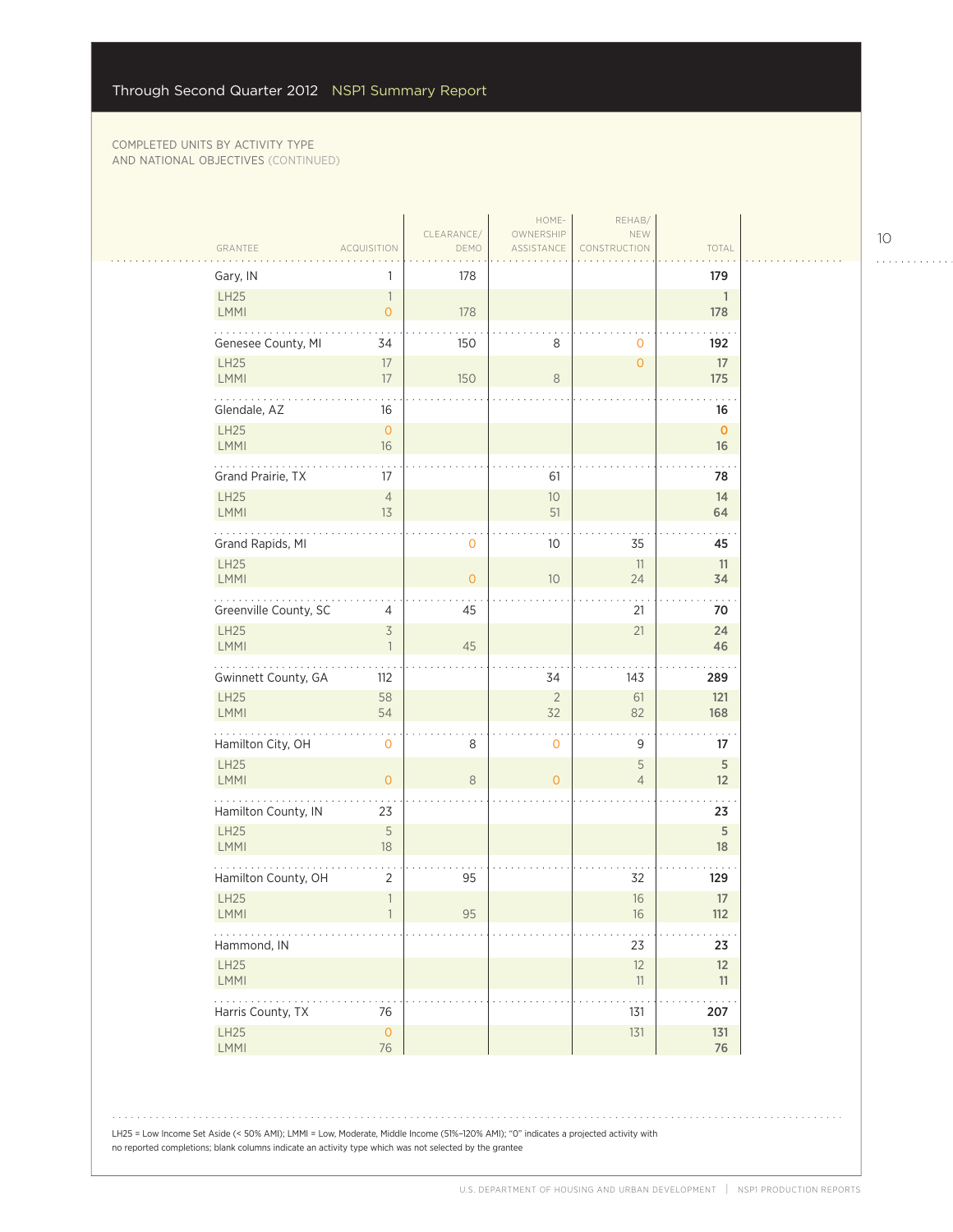| Gary, IN                    | 1                              | 178          |                |                     | 179               |
|-----------------------------|--------------------------------|--------------|----------------|---------------------|-------------------|
| <b>LH25</b>                 | $\overline{\phantom{a}}$       |              |                |                     | $\mathbf{1}$      |
| LMMI                        | $\overline{O}$                 | 178          |                |                     | 178               |
| Genesee County, MI          | 34                             | 150          | 8              | $\mathbf 0$         | 192               |
| LH25                        | 17                             |              |                | $\circ$             | 17                |
| LMMI<br>.                   | 17                             | 150          | $\,8\,$        |                     | 175               |
| Glendale, AZ                | 16                             |              |                |                     | 16                |
| LH25<br><b>LMMI</b>         | $\overline{O}$<br>$16\,$       |              |                |                     | $\mathbf 0$<br>16 |
| Grand Prairie, TX           | 17                             |              |                |                     |                   |
| <b>LH25</b>                 | $\overline{4}$                 |              | 61<br>$10\,$   |                     | 78<br>14          |
| LMMI                        | 13                             |              | 51             |                     | 64                |
| Grand Rapids, MI            |                                | 0            | 10             | 35                  | 45                |
| <b>LH25</b>                 |                                |              |                | 11                  | 11                |
| LMMI                        |                                | $\mathbf{O}$ | 10             | 24                  | 34                |
| Greenville County, SC       | 4                              | 45           |                | 21                  | 70                |
| LH25<br>LMMI                | $\overline{3}$<br>$\mathbf{1}$ | 45           |                | 21                  | 24<br>46          |
| Gwinnett County, GA         | 112                            |              | 34             | 143                 | 289               |
| <b>LH25</b>                 | 58                             |              | $\sqrt{2}$     | 61                  | 121               |
| LMMI<br>.                   | 54                             |              | 32             | 82                  | 168               |
| Hamilton City, OH           | $\mathbf{O}$                   | 8            | $\mathbf 0$    | 9                   | 17                |
| LH25<br><b>LMMI</b>         | $\overline{O}$                 | 8            | $\overline{O}$ | 5<br>$\overline{4}$ | 5<br>12           |
| Hamilton County, IN         | 23                             |              |                |                     | 23                |
| LH25<br>LMMI                | 5<br>18                        |              |                |                     | $\sqrt{5}$<br>18  |
|                             | $\overline{2}$                 | 95           |                | 32                  | 129               |
| Hamilton County, OH<br>LH25 | $\overline{1}$                 |              |                | $16\,$              | $17\,$            |
| <b>LMMI</b>                 |                                | 95           |                | 16                  | 112               |
| Hammond, IN                 |                                |              |                | 23                  | 23                |
| <b>LH25</b>                 |                                |              |                | 12                  | 12                |
| <b>LMMI</b><br>$\ldots$     |                                |              |                | 11                  | 11                |
| Harris County, TX           | 76                             |              |                | 131                 | 207               |
| LH25<br><b>LMMI</b>         | $\mathsf{O}$<br>76             |              |                | 131                 | 131<br>76         |

LH25 = Low Income Set Aside (< 50% AMI); LMMI = Low, Moderate, Middle Income (51%–120% AMI); "0" indicates a projected activity with no reported completions; blank columns indicate an activity type which was not selected by the grantee

10

. . . . . . . . . . . .

الأنباء

 $\bar{z}$  ,  $\bar{z}$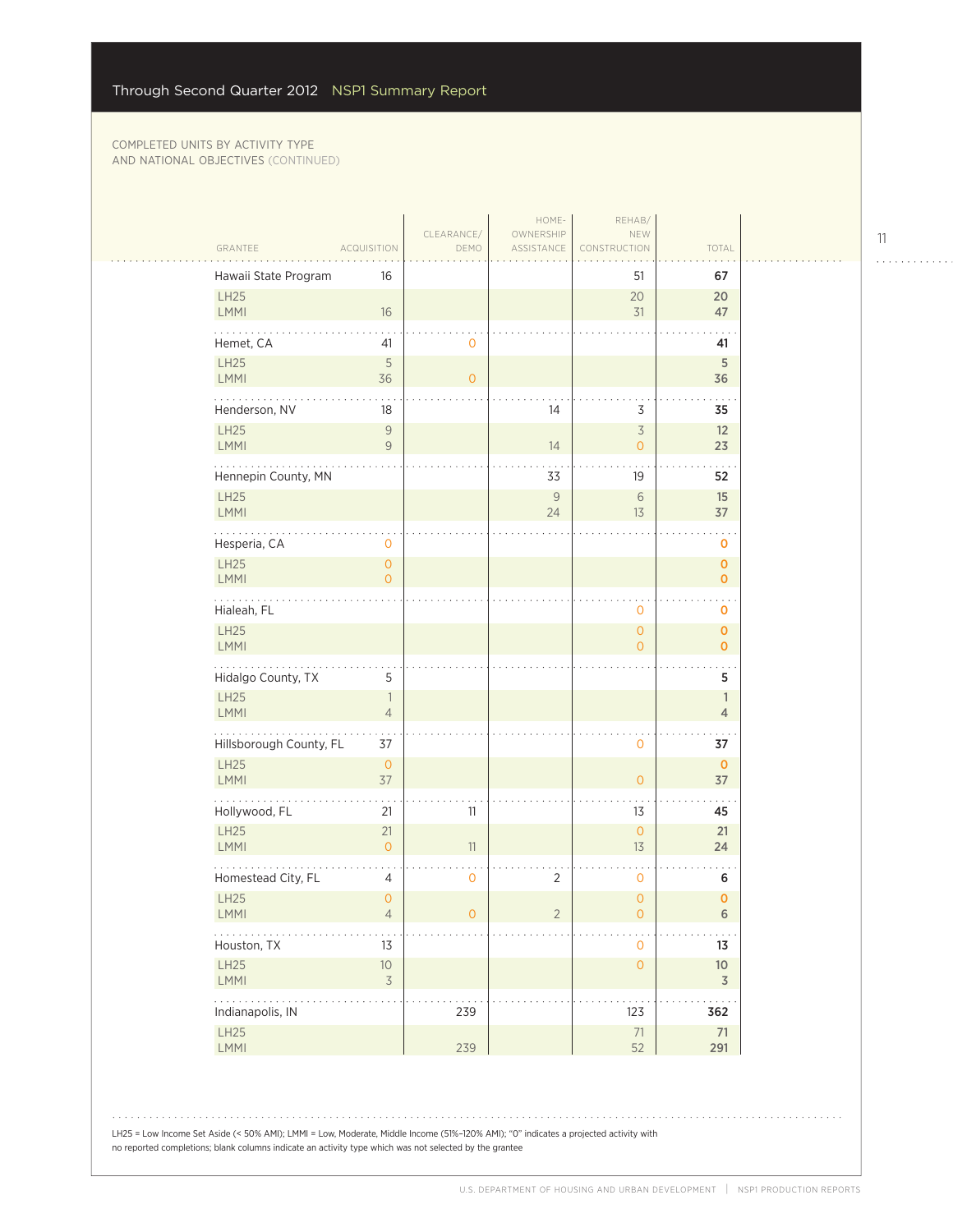$\sim$  .

|                            |                                       |                    | HOME-                   | REHAB/                                |                                   |  |
|----------------------------|---------------------------------------|--------------------|-------------------------|---------------------------------------|-----------------------------------|--|
| GRANTEE                    | ACQUISITION                           | CLEARANCE/<br>DEMO | OWNERSHIP<br>ASSISTANCE | NEW<br>CONSTRUCTION                   | TOTAL                             |  |
| Hawaii State Program       | 16                                    |                    |                         | 51                                    | 67                                |  |
| LH25<br><b>LMMI</b>        | 16                                    |                    |                         | 20<br>31                              | 20<br>47                          |  |
| Hemet, CA                  | 41                                    | $\mathbf 0$        |                         |                                       | 41                                |  |
| LH25<br>LMMI               | 5<br>36                               | $\circ$            |                         |                                       | 5<br>36                           |  |
| Henderson, NV              | 18                                    |                    | 14                      | $\overline{3}$                        | 35                                |  |
| <b>LH25</b><br>LMMI        | $\overline{9}$<br>$\overline{9}$      |                    | 14                      | $\overline{3}$<br>$\mathbf 0$         | 12<br>23                          |  |
| Hennepin County, MN        |                                       |                    | 33                      | 19                                    | 52                                |  |
| <b>LH25</b><br>LMMI        |                                       |                    | $\mathcal G$<br>24      | $\sqrt{6}$<br>13                      | 15<br>37                          |  |
| Hesperia, CA               | 0                                     |                    |                         |                                       | 0                                 |  |
| LH25<br>LMMI               | $\mathsf{O}\xspace$<br>$\overline{O}$ |                    |                         |                                       | 0<br>$\mathbf 0$                  |  |
| Hialeah, FL                |                                       |                    |                         | $\mathbf 0$                           | $\mathbf 0$                       |  |
| LH25<br>LMMI               |                                       |                    |                         | $\overline{O}$<br>$\overline{O}$      | $\mathbf 0$<br>$\mathbf{o}$       |  |
| Hidalgo County, TX         | 5                                     |                    |                         |                                       | 5                                 |  |
| LH25<br>LMMI               | $\overline{1}$<br>$\overline{4}$      |                    |                         |                                       | 1<br>$\overline{4}$               |  |
| Hillsborough County, FL    | 37                                    |                    |                         | $\mathbf 0$                           | 37                                |  |
| <b>LH25</b><br><b>LMMI</b> | $\mathsf{O}\xspace$<br>37             |                    |                         | $\overline{O}$                        | $\mathbf 0$<br>37                 |  |
| Hollywood, FL              | 21                                    | 11                 |                         | 13                                    | 45                                |  |
| <b>LH25</b><br>LMMI        | 21<br>$\overline{O}$                  | 11                 |                         | $\overline{O}$<br>13                  | 21<br>24                          |  |
| Homestead City, FL         | 4                                     | $\mathbf 0$        | 2                       | 0                                     | 6                                 |  |
| <b>LH25</b><br>LMMI        | $\overline{0}$<br>$\overline{4}$      | 0                  | $\overline{2}$          | $\overline{0}$<br>$\mathsf{O}\xspace$ | 0<br>$\sqrt{6}$                   |  |
| المتملة<br>Houston, TX     | 13                                    |                    |                         | $\mathbf 0$                           | 13                                |  |
| LH25<br>LMMI               | $10$<br>$\overline{\mathcal{S}}$      |                    |                         | $\mathsf{O}\xspace$                   | $10\,$<br>$\overline{\mathsf{3}}$ |  |
| .<br>Indianapolis, IN      |                                       | 239                |                         | 123                                   | 362                               |  |
| LH25<br>LMMI               |                                       | 239                |                         | $71\,$<br>52                          | $71\,$<br>291                     |  |
|                            |                                       |                    |                         |                                       |                                   |  |

LH25 = Low Income Set Aside (< 50% AMI); LMMI = Low, Moderate, Middle Income (51%–120% AMI); "0" indicates a projected activity with no reported completions; blank columns indicate an activity type which was not selected by the grantee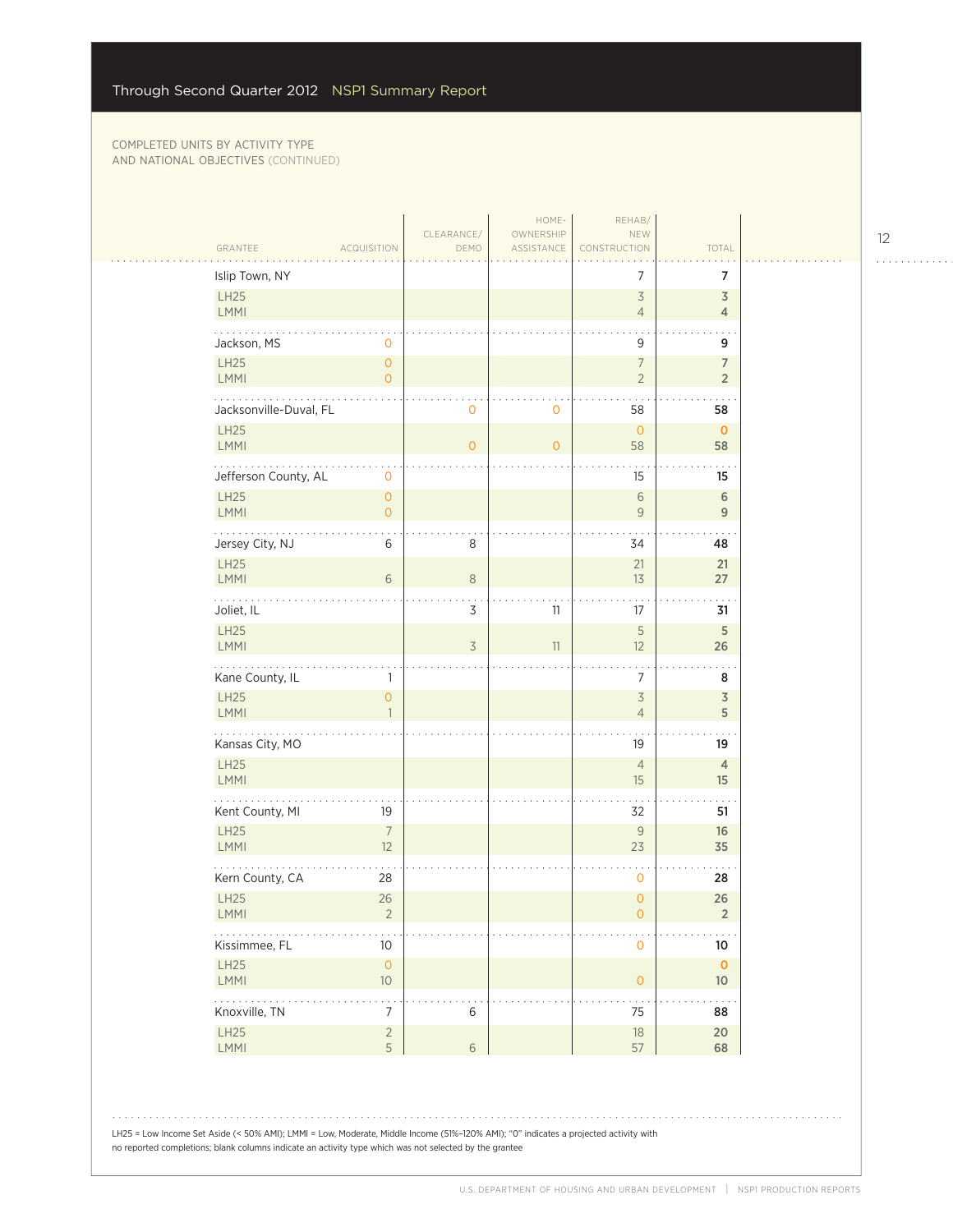$\mathcal{L}_{\mathcal{A}}$ 

|                                     |                              |                          | HOME-                   | REHAB/                                     |                                  |  |
|-------------------------------------|------------------------------|--------------------------|-------------------------|--------------------------------------------|----------------------------------|--|
| GRANTEE                             | <b>ACQUISITION</b>           | CLEARANCE/<br>DEMO       | OWNERSHIP<br>ASSISTANCE | NEW<br>CONSTRUCTION                        | TOTAL                            |  |
| Islip Town, NY                      |                              |                          |                         | 7                                          | 7                                |  |
| LH25<br>LMMI                        |                              |                          |                         | $\overline{\mathcal{S}}$<br>$\overline{4}$ | $\overline{3}$<br>$\overline{4}$ |  |
| Jackson, MS                         | $\mathbf{0}$                 |                          |                         | 9                                          | 9                                |  |
| LH25<br><b>LMMI</b>                 | $\circ$<br>$\overline{O}$    |                          |                         | $\overline{7}$<br>$\overline{2}$           | $\overline{7}$<br>$\overline{2}$ |  |
| Jacksonville-Duval, FL              |                              | $\mathbf 0$              | $\circ$                 | 58                                         | 58                               |  |
| LH25<br><b>LMMI</b>                 |                              | $\overline{0}$           | $\overline{O}$          | $\circ$<br>58                              | $\mathbf 0$<br>58                |  |
| Jefferson County, AL                | $\mathbf 0$                  |                          |                         | 15                                         | 15                               |  |
| <b>LH25</b><br>LMMI                 | $\circ$<br>$\overline{O}$    |                          |                         | $\,$ 6 $\,$<br>$\overline{9}$              | $\,$ 6 $\,$<br>$\overline{9}$    |  |
| Jersey City, NJ<br><b>LH25</b>      | 6                            | $\,8\,$                  |                         | 34<br>21                                   | 48<br>21                         |  |
| <b>LMMI</b><br>$\sim$ $\sim$ $\sim$ | 6                            | $\,8\,$                  |                         | 13                                         | 27                               |  |
| Joliet, IL<br>LH25                  |                              | $\mathsf 3$              | 11                      | 17<br>5                                    | 31<br>$\sqrt{5}$                 |  |
| LMMI                                |                              | $\overline{\mathcal{S}}$ | 11                      | 12                                         | 26                               |  |
| Kane County, IL                     | 1                            |                          |                         | 7                                          | 8                                |  |
| LH25<br>LMMI                        | $\mathbf{O}$<br>$\mathbf{1}$ |                          |                         | $\overline{\mathcal{S}}$<br>$\overline{4}$ | $\overline{\mathsf{3}}$<br>5     |  |
| .<br>Kansas City, MO<br>LH25        |                              |                          |                         | 19                                         | 19                               |  |
| <b>LMMI</b>                         |                              |                          |                         | $\overline{4}$<br>15                       | $\overline{4}$<br>15             |  |
| Kent County, MI                     | 19                           |                          |                         | 32                                         | 51                               |  |
| <b>LH25</b><br><b>LMMI</b>          | $7\overline{ }$<br>12        |                          |                         | $\mathcal{G}$<br>23                        | 16<br>35                         |  |
| Kern County, CA                     | 28                           |                          |                         | 0                                          | 28                               |  |
| LH25<br><b>LMMI</b>                 | 26<br>$\overline{2}$         |                          |                         | $\overline{0}$<br>$\mathbf 0$              | 26<br>2                          |  |
| .<br>Kissimmee, FL<br>LH25          | 10<br>$\mathsf{O}\xspace$    |                          |                         | $\mathbf 0$                                | $10\,$<br>$\mathbf 0$            |  |
| LMMI                                | $10$                         |                          |                         | $\mathsf{O}\xspace$                        | 10 <sup>°</sup>                  |  |
| Knoxville, TN                       | $\overline{7}$               | 6                        |                         | $\ddot{\phantom{0}}$<br>75                 | 88                               |  |
| LH25<br>LMMI                        | $\overline{2}$<br>5          | $\sqrt{6}$               |                         | $18\,$<br>57                               | 20 <sub>2</sub><br>68            |  |

LH25 = Low Income Set Aside (< 50% AMI); LMMI = Low, Moderate, Middle Income (51%–120% AMI); "0" indicates a projected activity with no reported completions; blank columns indicate an activity type which was not selected by the grantee

12

. . . . . . . . . . . .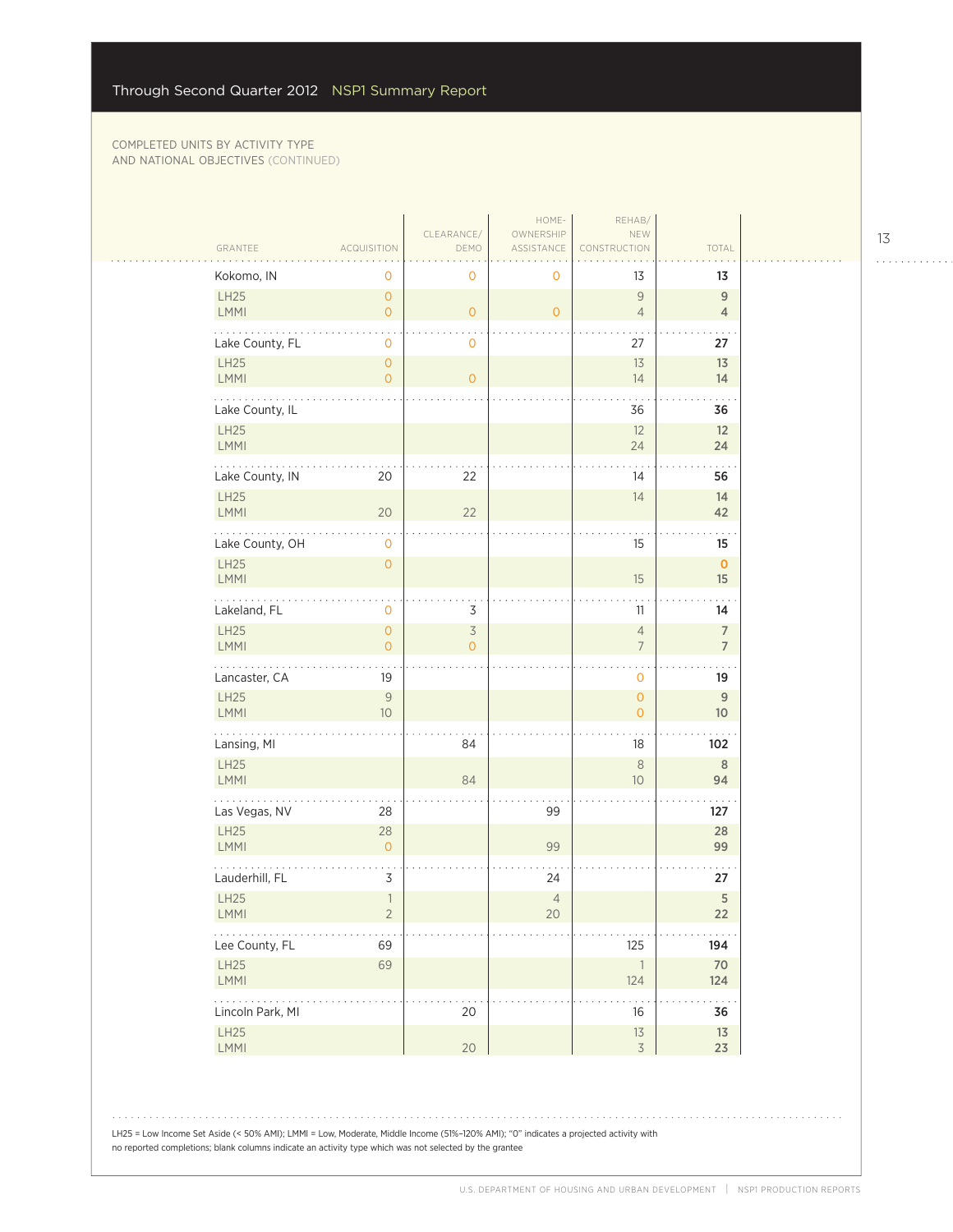$\mathcal{L}_{\mathcal{A}}$ 

|                                                                    |                                  | CLEARANCE/                          | HOME-<br>OWNERSHIP       | REHAB/<br>NEW                    |                                   |
|--------------------------------------------------------------------|----------------------------------|-------------------------------------|--------------------------|----------------------------------|-----------------------------------|
| GRANTEE                                                            | <b>ACQUISITION</b>               | DEMO                                | ASSISTANCE               | CONSTRUCTION                     | TOTAL                             |
| Kokomo, IN                                                         | 0                                | $\mathbf 0$                         | 0                        | 13                               | 13                                |
| LH25<br><b>LMMI</b>                                                | $\overline{0}$<br>$\circ$        | $\mathsf{O}\xspace$                 | $\overline{O}$           | 9<br>$\overline{4}$              | $\overline{9}$<br>$\overline{4}$  |
| Lake County, FL                                                    | $\mathbf 0$                      | $\mathbf 0$                         |                          | 27                               | 27                                |
| LH25<br><b>LMMI</b>                                                | $\circ$<br>$\overline{O}$        | $\circ$                             |                          | 13<br>14                         | 13<br>14                          |
| Lake County, IL                                                    |                                  |                                     |                          | 36                               | 36                                |
| LH25<br><b>LMMI</b>                                                |                                  |                                     |                          | 12<br>24                         | 12<br>24                          |
| Lake County, IN                                                    | 20                               | 22                                  |                          | 14                               | 56                                |
| <b>LH25</b><br>LMMI                                                | 20                               | 22                                  |                          | 14                               | 14<br>42                          |
| .<br>Lake County, OH                                               | $\mathbf 0$                      |                                     |                          | 15                               | 15                                |
| LH25<br>LMMI                                                       | $\mathsf{O}\xspace$              |                                     |                          | 15                               | $\mathbf 0$<br>15                 |
| Lakeland, FL                                                       | $\mathbf 0$                      | 3                                   |                          | 11                               | 14                                |
| LH25<br>LMMI                                                       | $\overline{0}$<br>$\overline{O}$ | $\overline{\mathcal{S}}$<br>$\circ$ |                          | $\overline{4}$<br>$\overline{7}$ | $\overline{7}$<br>$\overline{7}$  |
| Lancaster, CA                                                      | 19                               |                                     |                          | $\mathbf{O}$                     | 19                                |
| LH25<br><b>LMMI</b>                                                | 9<br>$10$                        |                                     |                          | $\mathbf{O}$<br>$\overline{O}$   | $\overline{9}$<br>10 <sup>°</sup> |
| .<br>Lansing, MI                                                   |                                  | 84                                  |                          | 18                               | 102                               |
| LH25<br><b>LMMI</b>                                                |                                  | 84                                  |                          | $\,8\,$<br>10                    | $\, 8$<br>94                      |
| Las Vegas, NV                                                      | 28                               |                                     | 99                       |                                  | 127                               |
| <b>LH25</b><br>LMMI                                                | 28<br>$\circ$                    |                                     | 99                       |                                  | 28<br>99                          |
| Lauderhill, FL                                                     | 3                                |                                     | 24                       |                                  | 27                                |
| LH25<br><b>LMMI</b>                                                | $\mathbf{1}$<br>$\overline{2}$   |                                     | $\overline{4}$<br>$20\,$ |                                  | $\sqrt{5}$<br>$22$                |
| $\mathbb{Z}^2$ , $\mathbb{Z}^2$ , $\mathbb{Z}^2$<br>Lee County, FL | 69                               |                                     |                          | 125                              | 194                               |
| LH25<br>LMMI                                                       | 69                               |                                     |                          | $\overline{\phantom{a}}$<br>124  | 70<br>124                         |
| $\mathbb{Z}^2$ . The set of $\mathbb{Z}^2$<br>Lincoln Park, MI     |                                  | 20                                  |                          | $16\,$                           | $\sim$ $\sim$ $\sim$<br>36        |
| LH25<br>LMMI                                                       |                                  | 20                                  |                          | 13<br>$\overline{3}$             | $13\,$<br>23                      |

LH25 = Low Income Set Aside (< 50% AMI); LMMI = Low, Moderate, Middle Income (51%–120% AMI); "0" indicates a projected activity with no reported completions; blank columns indicate an activity type which was not selected by the grantee

13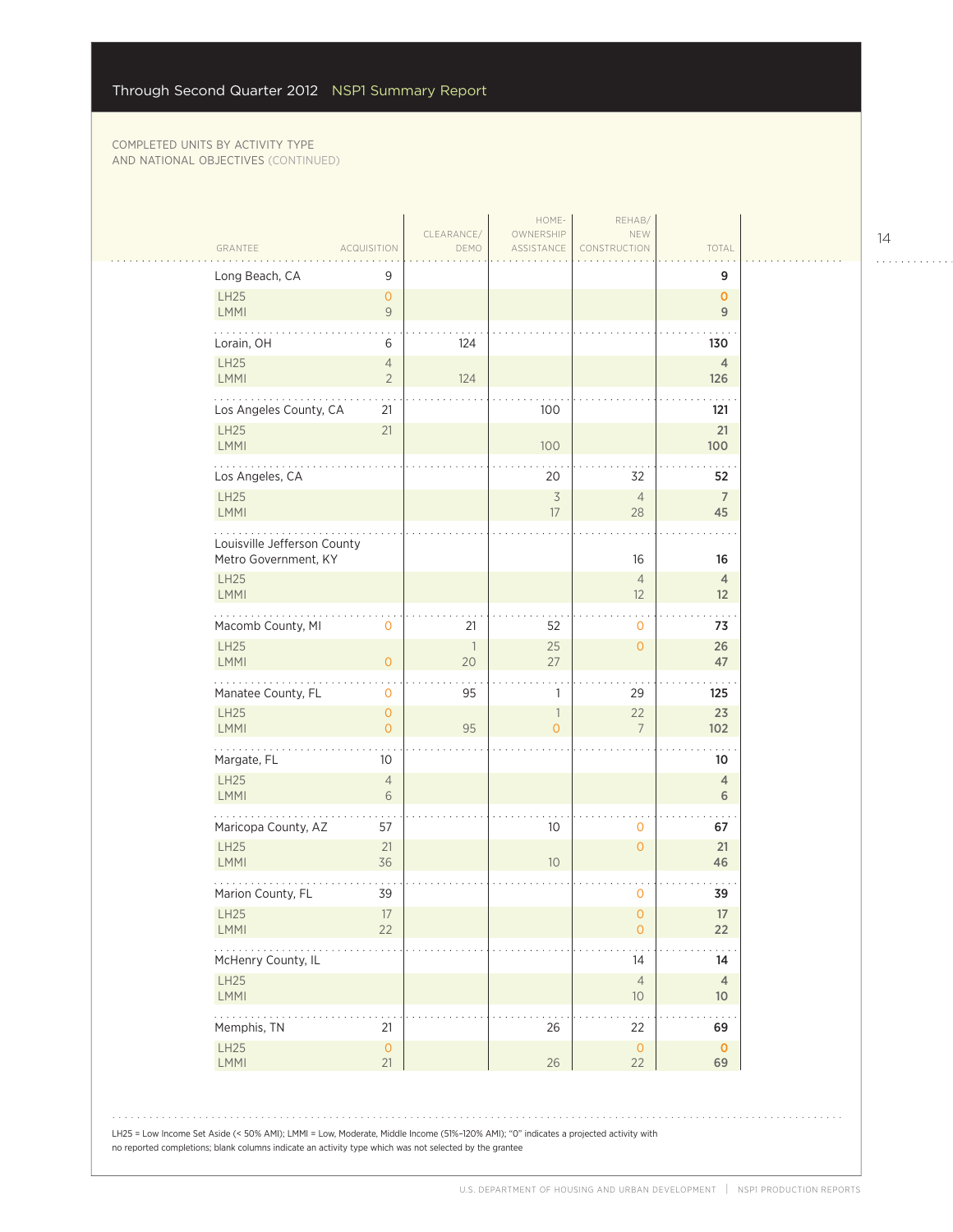| GRANTEE<br><b>ACQUISITION</b>                                                                                                                                                                                                                                                                                                                              |                                  | CLEARANCE/<br>DEMO   | HOME-<br>OWNERSHIP<br>ASSISTANCE | REHAB/<br>NEW<br>CONSTRUCTION | TOTAL                 |
|------------------------------------------------------------------------------------------------------------------------------------------------------------------------------------------------------------------------------------------------------------------------------------------------------------------------------------------------------------|----------------------------------|----------------------|----------------------------------|-------------------------------|-----------------------|
|                                                                                                                                                                                                                                                                                                                                                            |                                  |                      |                                  |                               |                       |
| Long Beach, CA<br>LH25                                                                                                                                                                                                                                                                                                                                     | 9<br>$\overline{0}$              |                      |                                  |                               | 9<br>$\mathbf{0}$     |
| LMMI                                                                                                                                                                                                                                                                                                                                                       | $\overline{9}$                   |                      |                                  |                               | 9                     |
| Lorain, OH                                                                                                                                                                                                                                                                                                                                                 | 6                                | 124                  |                                  |                               | 130                   |
| LH25<br><b>LMMI</b>                                                                                                                                                                                                                                                                                                                                        | $\overline{4}$<br>$\overline{2}$ | 124                  |                                  |                               | $\overline{4}$<br>126 |
|                                                                                                                                                                                                                                                                                                                                                            |                                  |                      |                                  |                               |                       |
| Los Angeles County, CA<br><b>LH25</b>                                                                                                                                                                                                                                                                                                                      | 21<br>21                         |                      | 100                              |                               | 121<br>21             |
| <b>LMMI</b>                                                                                                                                                                                                                                                                                                                                                |                                  |                      | 100                              |                               | 100                   |
| Los Angeles, CA                                                                                                                                                                                                                                                                                                                                            |                                  |                      | 20                               | 32                            | 52                    |
| <b>LH25</b><br><b>LMMI</b>                                                                                                                                                                                                                                                                                                                                 |                                  |                      | $\overline{\mathcal{S}}$<br>17   | $\overline{4}$<br>28          | $\overline{7}$<br>45  |
|                                                                                                                                                                                                                                                                                                                                                            |                                  |                      |                                  |                               |                       |
| Louisville Jefferson County<br>Metro Government, KY                                                                                                                                                                                                                                                                                                        |                                  |                      |                                  | 16                            | 16                    |
| <b>LH25</b>                                                                                                                                                                                                                                                                                                                                                |                                  |                      |                                  | $\overline{4}$                | $\overline{4}$        |
| <b>LMMI</b>                                                                                                                                                                                                                                                                                                                                                |                                  |                      |                                  | 12                            | 12                    |
| Macomb County, MI                                                                                                                                                                                                                                                                                                                                          | 0                                | 21                   | 52                               | 0                             | 73                    |
| <b>LH25</b><br><b>LMMI</b>                                                                                                                                                                                                                                                                                                                                 | $\overline{O}$                   | $\overline{1}$<br>20 | 25<br>27                         | $\overline{O}$                | 26<br>47              |
| Manatee County, FL                                                                                                                                                                                                                                                                                                                                         | 0                                | 95                   | 1                                | 29                            | 125                   |
| <b>LH25</b>                                                                                                                                                                                                                                                                                                                                                | $\overline{O}$                   |                      | $\overline{\phantom{a}}$         | 22                            | 23                    |
| <b>LMMI</b><br>$\cdots$                                                                                                                                                                                                                                                                                                                                    | $\overline{0}$                   | 95                   | $\overline{O}$                   | $\overline{7}$                | 102                   |
| Margate, FL                                                                                                                                                                                                                                                                                                                                                | 10                               |                      |                                  |                               | 10                    |
| <b>LH25</b><br><b>LMMI</b>                                                                                                                                                                                                                                                                                                                                 | $\overline{4}$<br>6              |                      |                                  |                               | $\overline{4}$<br>6   |
| Maricopa County, AZ                                                                                                                                                                                                                                                                                                                                        | 57                               |                      | 10 <sup>°</sup>                  | 0                             | 67                    |
| <b>LH25</b>                                                                                                                                                                                                                                                                                                                                                | 21                               |                      |                                  | $\overline{O}$                | 21                    |
| LMMI                                                                                                                                                                                                                                                                                                                                                       | 36                               |                      | 10 <sup>°</sup>                  |                               | 46                    |
| Marion County, FL                                                                                                                                                                                                                                                                                                                                          | 39                               |                      |                                  | 0                             | 39                    |
| LH <sub>25</sub><br><b>LMMI</b>                                                                                                                                                                                                                                                                                                                            | 17<br>22                         |                      |                                  | $\mathbf 0$<br>$\overline{0}$ | 17<br>22              |
| $\frac{1}{2} \left( \begin{array}{ccc} 1 & 0 & 0 & 0 \\ 0 & 0 & 0 & 0 \\ 0 & 0 & 0 & 0 \\ 0 & 0 & 0 & 0 \\ 0 & 0 & 0 & 0 \\ 0 & 0 & 0 & 0 \\ 0 & 0 & 0 & 0 \\ 0 & 0 & 0 & 0 \\ 0 & 0 & 0 & 0 \\ 0 & 0 & 0 & 0 \\ 0 & 0 & 0 & 0 & 0 \\ 0 & 0 & 0 & 0 & 0 \\ 0 & 0 & 0 & 0 & 0 \\ 0 & 0 & 0 & 0 & 0 \\ 0 & 0 & 0 & 0 & 0 \\ 0 & 0 & 0$<br>McHenry County, IL |                                  |                      |                                  | 14                            | 14                    |
| LH25                                                                                                                                                                                                                                                                                                                                                       |                                  |                      |                                  | $\overline{4}$                | $\overline{4}$        |
| LMMI                                                                                                                                                                                                                                                                                                                                                       |                                  |                      |                                  | 10                            | 10 <sup>°</sup>       |
| Memphis, TN                                                                                                                                                                                                                                                                                                                                                | 21                               |                      | 26                               | 22                            | 69                    |
| <b>LH25</b><br>LMMI                                                                                                                                                                                                                                                                                                                                        | $\mathsf{O}\xspace$<br>21        |                      | 26                               | $\overline{0}$<br>22          | $\mathbf{0}$<br>69    |
|                                                                                                                                                                                                                                                                                                                                                            |                                  |                      |                                  |                               |                       |

14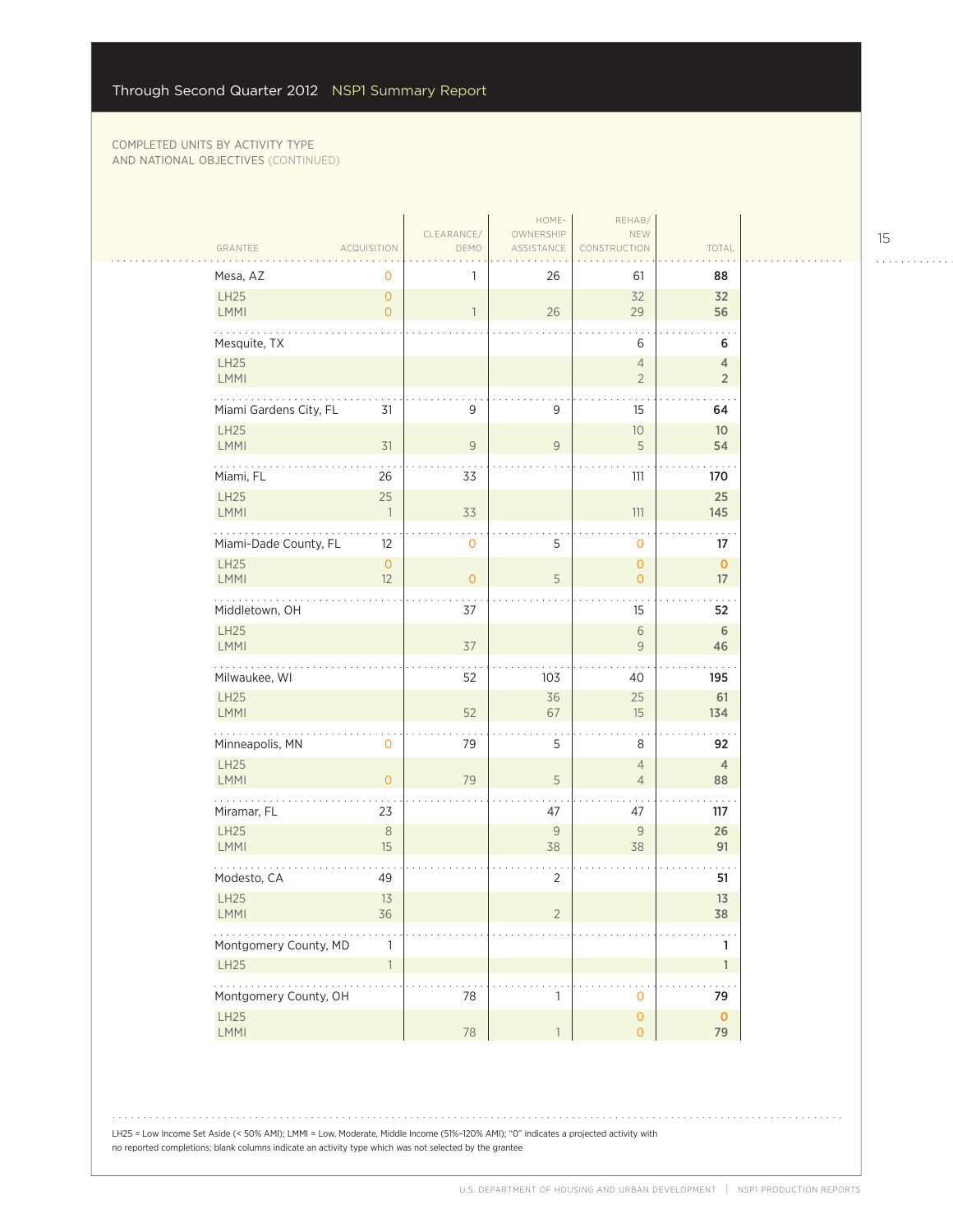|                             |                                       |                    | HOME-                   | REHAB/                           |                       |  |
|-----------------------------|---------------------------------------|--------------------|-------------------------|----------------------------------|-----------------------|--|
| GRANTEE                     | <b>ACQUISITION</b>                    | CLEARANCE/<br>DEMO | OWNERSHIP<br>ASSISTANCE | NEW<br><b>NSTRUCTION</b>         | TOTAL                 |  |
| Mesa, AZ                    | 0                                     |                    | 26                      | 61                               | 88                    |  |
| LH25<br>LMMI                | $\mathsf{O}\xspace$<br>$\overline{O}$ | $\mathbf{1}$       | 26                      | 32<br>29                         | 32<br>56              |  |
| Mesquite, TX                |                                       |                    |                         | 6                                | 6                     |  |
| LH25                        |                                       |                    |                         | $\sqrt{4}$                       | $\overline{4}$        |  |
| LMMI                        |                                       |                    |                         | $\overline{2}$                   | $\sqrt{2}$            |  |
| .<br>Miami Gardens City, FL | 31                                    | 9                  | 9                       | 15                               | 64                    |  |
| LH25<br><b>LMMI</b>         | 31                                    | $\mathsf{9}$       | $\overline{9}$          | $10$<br>$\mathsf S$              | 10 <sup>°</sup><br>54 |  |
|                             |                                       |                    |                         |                                  |                       |  |
| Miami, FL<br>LH25           | 26<br>25                              | 33                 |                         | 111                              | 170<br>25             |  |
| LMMI                        | $\overline{\phantom{a}}$              | 33                 |                         | $111$                            | 145                   |  |
| Miami-Dade County, FL       | 12                                    | 0                  | 5                       | $\mathbf 0$                      | 17                    |  |
| <b>LH25</b><br><b>LMMI</b>  | $\mathsf{O}\xspace$<br>12             | $\overline{0}$     | 5                       | $\circ$<br>$\mathsf{O}\xspace$   | $\mathbf{O}$<br>17    |  |
| Middletown, OH              |                                       | 37                 |                         | 15                               | $\sim$<br>52          |  |
| LH25<br>LMMI                |                                       | 37                 |                         | $\sqrt{6}$<br>$\mathsf{9}$       | $\sqrt{6}$<br>46      |  |
| Milwaukee, WI               |                                       | 52                 | 103                     | 40                               | 195                   |  |
| LH25                        |                                       |                    | 36                      | 25                               | 61                    |  |
| LMMI                        |                                       | 52                 | 67                      | 15                               | 134                   |  |
| .<br>Minneapolis, MN        | $\mathbf 0$                           | 79                 | 5                       | 8                                | 92                    |  |
| LH25<br><b>LMMI</b>         | $\overline{O}$                        | 79                 | 5                       | $\overline{4}$<br>$\overline{4}$ | $\overline{4}$<br>88  |  |
| Miramar, FL                 | 23                                    |                    | 47                      | 47                               | 117                   |  |
| LH25                        | $\,8\,$                               |                    | $\mathcal G$            | 9                                | 26                    |  |
| LMMI                        | 15                                    |                    | 38                      | 38                               | 91                    |  |
| Modesto, CA                 | 49                                    |                    | $\overline{2}$          |                                  | 51                    |  |
| LH25<br><b>LMMI</b>         | 13<br>36                              |                    | 2                       |                                  | 13<br>38              |  |
| Montgomery County, MD       | 1                                     |                    |                         |                                  | 1                     |  |
| <b>LH25</b>                 | $\mathbf{1}$                          |                    |                         |                                  | $\mathbf{1}$          |  |
| .<br>Montgomery County, OH  |                                       | 78                 | $\mathbf{1}$            | $\mathbf 0$                      | 79                    |  |
| LH25                        |                                       |                    |                         | $\mathsf{O}\xspace$              | $\mathbf 0$           |  |
| LMMI                        |                                       | 78                 | $\mathbf{1}$            | $\mathsf O$                      | 79                    |  |

LH25 = Low Income Set Aside (< 50% AMI); LMMI = Low, Moderate, Middle Income (51%–120% AMI); "0" indicates a projected activity with

no reported completions; blank columns indicate an activity type which was not selected by the grantee

15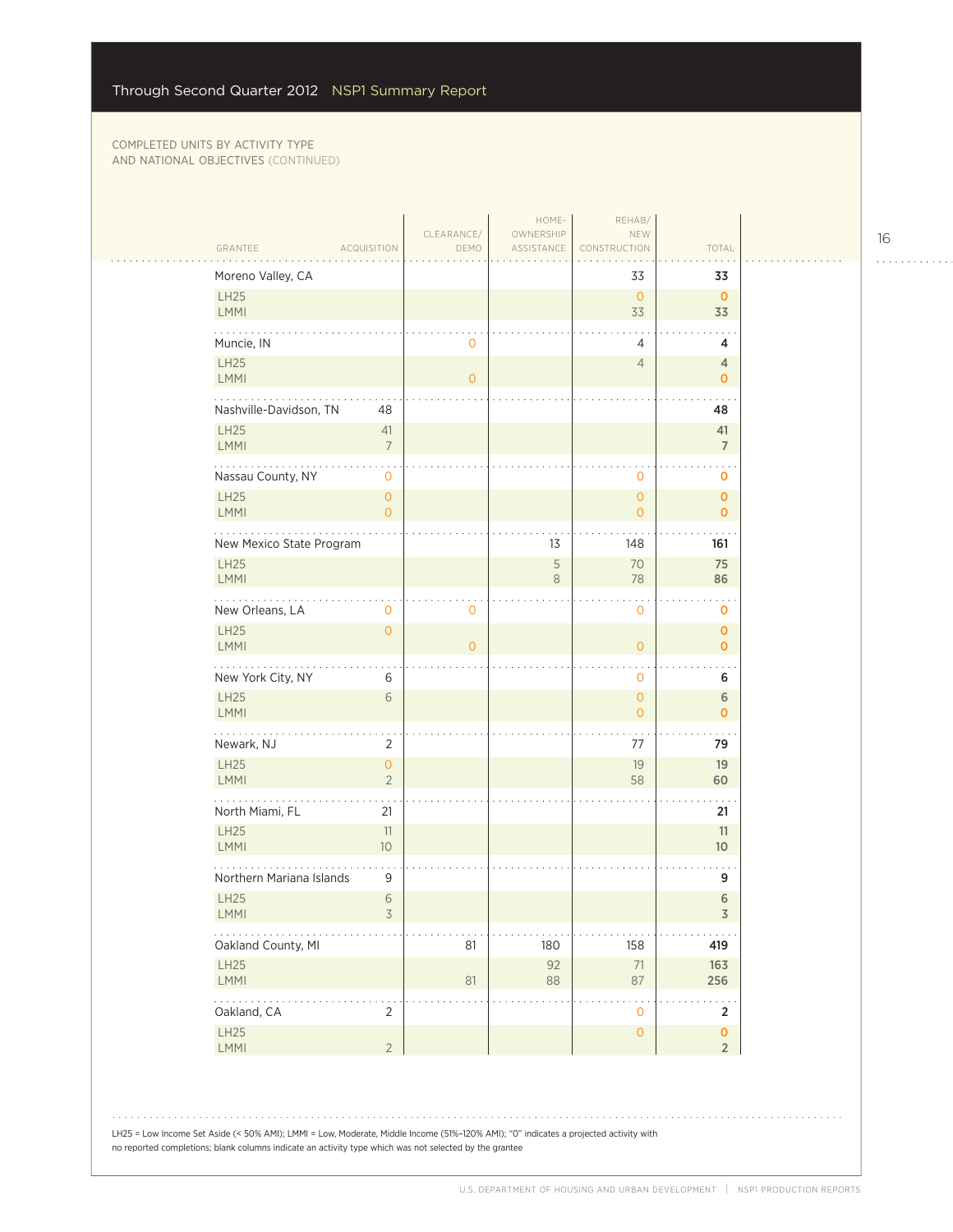$\mathcal{L}_{\mathcal{A}}$ 

| GRANTEE<br><b>ACQUISITION</b>                            | CLEARANCE/<br>DEMO | HOME-<br>OWNERSHIP<br>ASSISTANCE | REHAB/<br>NEW<br>CONSTRUCTION    | TOTAL                                |  |
|----------------------------------------------------------|--------------------|----------------------------------|----------------------------------|--------------------------------------|--|
| Moreno Valley, CA                                        |                    |                                  | 33                               | 33                                   |  |
| <b>LH25</b><br>LMMI                                      |                    |                                  | $\overline{0}$<br>33             | $\mathbf 0$<br>33                    |  |
| Muncie, IN                                               | 0                  |                                  | 4                                | 4                                    |  |
| LH25<br><b>LMMI</b>                                      | $\overline{0}$     |                                  | $\overline{4}$                   | 4<br>$\mathbf 0$                     |  |
| Nashville-Davidson, TN<br>48                             |                    |                                  |                                  | 48                                   |  |
| LH25<br>41<br>LMMI<br>$\overline{7}$                     |                    |                                  |                                  | 41<br>$\overline{7}$                 |  |
| Nassau County, NY<br>$\mathbf 0$                         |                    |                                  | $\mathbf 0$                      | o                                    |  |
| <b>LH25</b><br>$\overline{0}$<br><b>LMMI</b><br>$\Omega$ |                    |                                  | $\overline{O}$<br>$\overline{0}$ | $\mathbf 0$<br>$\mathbf{O}$          |  |
| New Mexico State Program                                 |                    | 13                               | 148                              | 161                                  |  |
| LH25<br>LMMI                                             |                    | 5<br>8                           | 70<br>78                         | 75<br>86                             |  |
| New Orleans, LA<br>0                                     | 0                  |                                  | 0                                | 0                                    |  |
| <b>LH25</b><br>$\circ$<br>LMMI                           | $\overline{O}$     |                                  | $\overline{O}$                   | $\pmb{\mathsf{O}}$<br>$\mathbf{O}$   |  |
| New York City, NY<br>6                                   |                    |                                  | $\mathbf 0$                      | 6                                    |  |
| LH25<br>6<br>LMMI                                        |                    |                                  | $\mathbf{O}$<br>$\overline{0}$   | $\sqrt{6}$<br>$\mathbf 0$            |  |
| .<br>Newark, NJ<br>2                                     |                    |                                  | 77                               | 79                                   |  |
| LH25<br>$\overline{O}$<br><b>LMMI</b><br>$\overline{2}$  |                    |                                  | 19<br>58                         | 19<br>60                             |  |
| North Miami, FL<br>21                                    |                    |                                  |                                  | 21                                   |  |
| <b>LH25</b><br>11<br>$10$<br>LMMI                        |                    |                                  |                                  | 11<br>10 <sup>°</sup>                |  |
| Northern Mariana Islands<br>9                            |                    |                                  |                                  | 9                                    |  |
| <b>LH25</b><br>$\sqrt{6}$<br>3<br><b>LMMI</b>            |                    |                                  |                                  | 6<br>3                               |  |
| Oakland County, MI                                       | 81                 | 180                              | 158                              | 419                                  |  |
| LH25<br>LMMI                                             | 81                 | 92<br>88                         | $71\,$<br>87                     | 163<br>256                           |  |
| 222<br>Oakland, CA<br>2                                  |                    |                                  | $\mathsf{O}\xspace$              | $\overline{2}$                       |  |
| LH25<br><b>LMMI</b><br>$\overline{2}$                    |                    |                                  | $\mathsf{O}\xspace$              | $\pmb{\mathsf{O}}$<br>$\overline{2}$ |  |

LH25 = Low Income Set Aside (< 50% AMI); LMMI = Low, Moderate, Middle Income (51%–120% AMI); "0" indicates a projected activity with no reported completions; blank columns indicate an activity type which was not selected by the grantee

16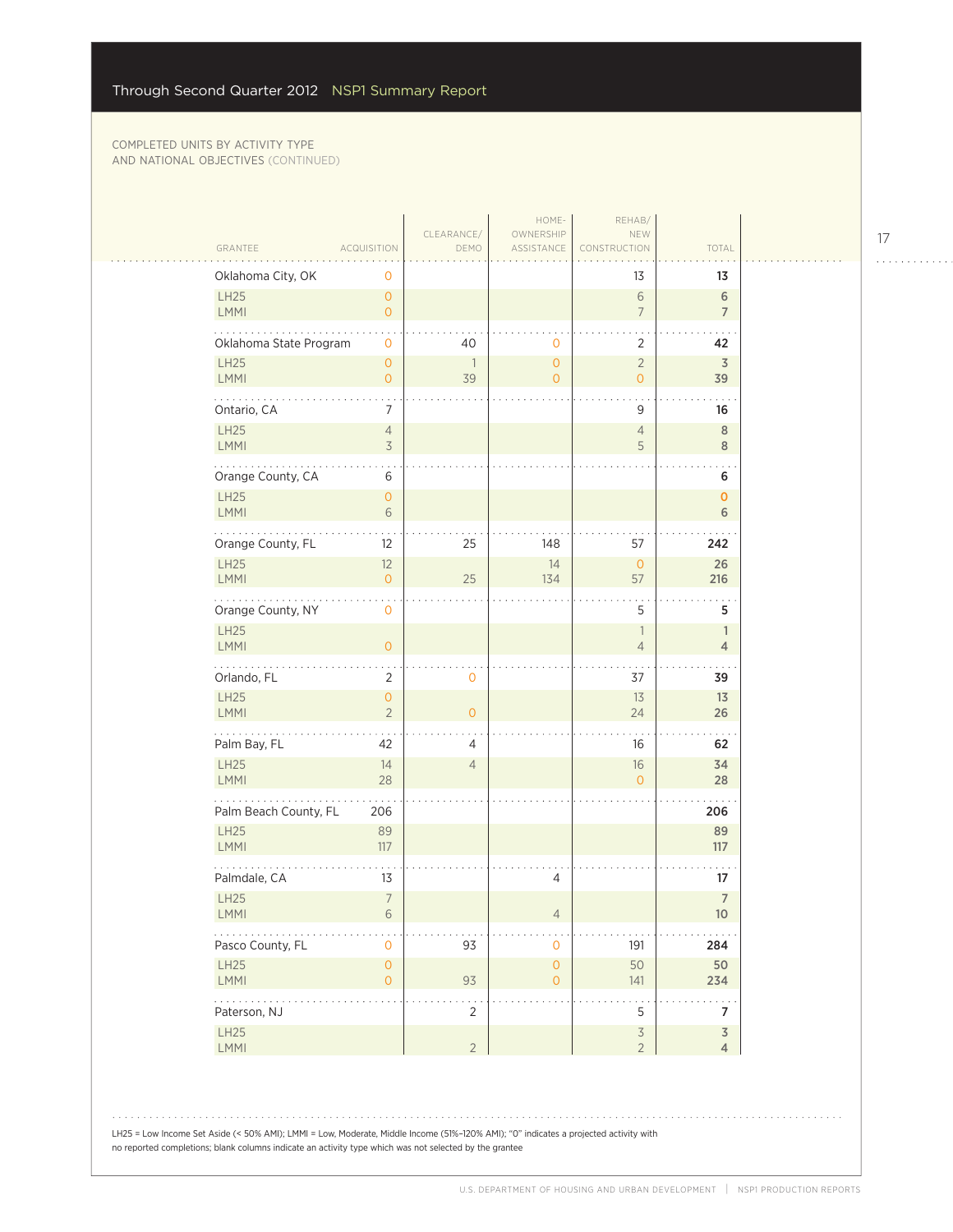$\sim$  .

|                                     |                                       | CLEARANCE/           | HOME-<br>OWNERSHIP                         | REHAB/<br>NEW                              |                                   |
|-------------------------------------|---------------------------------------|----------------------|--------------------------------------------|--------------------------------------------|-----------------------------------|
| GRANTEE                             | <b>ACQUISITION</b>                    | DEMO                 | ASSISTANCE                                 | CONSTRUCTION                               | TOTAL                             |
| Oklahoma City, OK                   | 0                                     |                      |                                            | 13                                         | 13                                |
| LH25<br><b>LMMI</b>                 | $\circ$<br>$\overline{O}$             |                      |                                            | $\,$ $\,$ $\,$<br>$\overline{7}$           | 6<br>$\overline{7}$               |
| Oklahoma State Program              | $\mathbf{O}$                          | 40                   | $\mathbf 0$                                | $\overline{2}$                             | 42                                |
| LH25<br>LMMI                        | $\circ$<br>$\mathsf{O}\xspace$        | $\overline{1}$<br>39 | $\mathsf{O}\xspace$<br>$\circ$             | $\overline{2}$<br>$\overline{O}$           | 3<br>39                           |
| .<br>Ontario, CA                    | 7                                     |                      |                                            | 9                                          | 16                                |
| LH25<br><b>LMMI</b>                 | $\overline{4}$<br>3                   |                      |                                            | $\overline{4}$<br>5                        | $\,$ 8 $\,$<br>8                  |
| Orange County, CA                   | 6                                     |                      |                                            |                                            | 6                                 |
| LH25<br>LMMI                        | $\overline{O}$<br>$\sqrt{6}$          |                      |                                            |                                            | $\mathbf 0$<br>6                  |
| Orange County, FL                   | 12                                    | 25                   | 148                                        | 57                                         | 242                               |
| LH25<br>LMMI                        | 12<br>$\overline{O}$                  | 25                   | 14<br>134                                  | $\mathsf{O}\xspace$<br>57                  | 26<br>216                         |
| والمالم المالم<br>Orange County, NY | $\mathbf{O}$                          |                      |                                            | 5                                          | 5                                 |
| LH25<br>LMMI                        | $\mathbf{O}$                          |                      |                                            | $\overline{1}$<br>$\overline{4}$           | $\mathbb{1}$<br>$\overline{4}$    |
| Orlando, FL                         | $\overline{2}$                        | 0                    |                                            | 37                                         | 39                                |
| LH25<br><b>LMMI</b>                 | $\circ$<br>$\overline{2}$             | $\overline{O}$       |                                            | 13<br>24                                   | 13<br>26                          |
| .<br>Palm Bay, FL                   | 42                                    | 4                    |                                            | 16                                         | 62                                |
| LH25<br><b>LMMI</b>                 | 14<br>28                              | $\overline{4}$       |                                            | 16<br>$\overline{O}$                       | 34<br>28                          |
| Palm Beach County, FL               | 206                                   |                      |                                            |                                            | 206                               |
| <b>LH25</b><br><b>LMMI</b>          | 89<br>$117$                           |                      |                                            |                                            | 89<br>117                         |
| Palmdale, CA                        | 13                                    |                      | 4                                          |                                            | 17                                |
| LH25<br><b>LMMI</b>                 | $\overline{7}$<br>6                   |                      | $\overline{4}$                             |                                            | $\overline{7}$<br>10 <sup>°</sup> |
| Pasco County, FL                    | $\mathbf 0$                           | 93                   | $\mathsf{O}\xspace$                        | 191                                        | 284                               |
| <b>LH25</b><br>LMMI                 | $\mathsf{O}\xspace$<br>$\overline{O}$ | 93                   | $\mathsf{O}\xspace$<br>$\mathsf{O}\xspace$ | 50<br>141                                  | 50<br>234                         |
| .<br>Paterson, NJ                   |                                       | $\overline{2}$       |                                            | 5                                          | $\overline{7}$                    |
| LH25<br>LMMI                        |                                       | $2\overline{ }$      |                                            | $\overline{\mathcal{S}}$<br>$\overline{2}$ | $\overline{3}$<br>$\overline{4}$  |

LH25 = Low Income Set Aside (< 50% AMI); LMMI = Low, Moderate, Middle Income (51%–120% AMI); "0" indicates a projected activity with no reported completions; blank columns indicate an activity type which was not selected by the grantee

17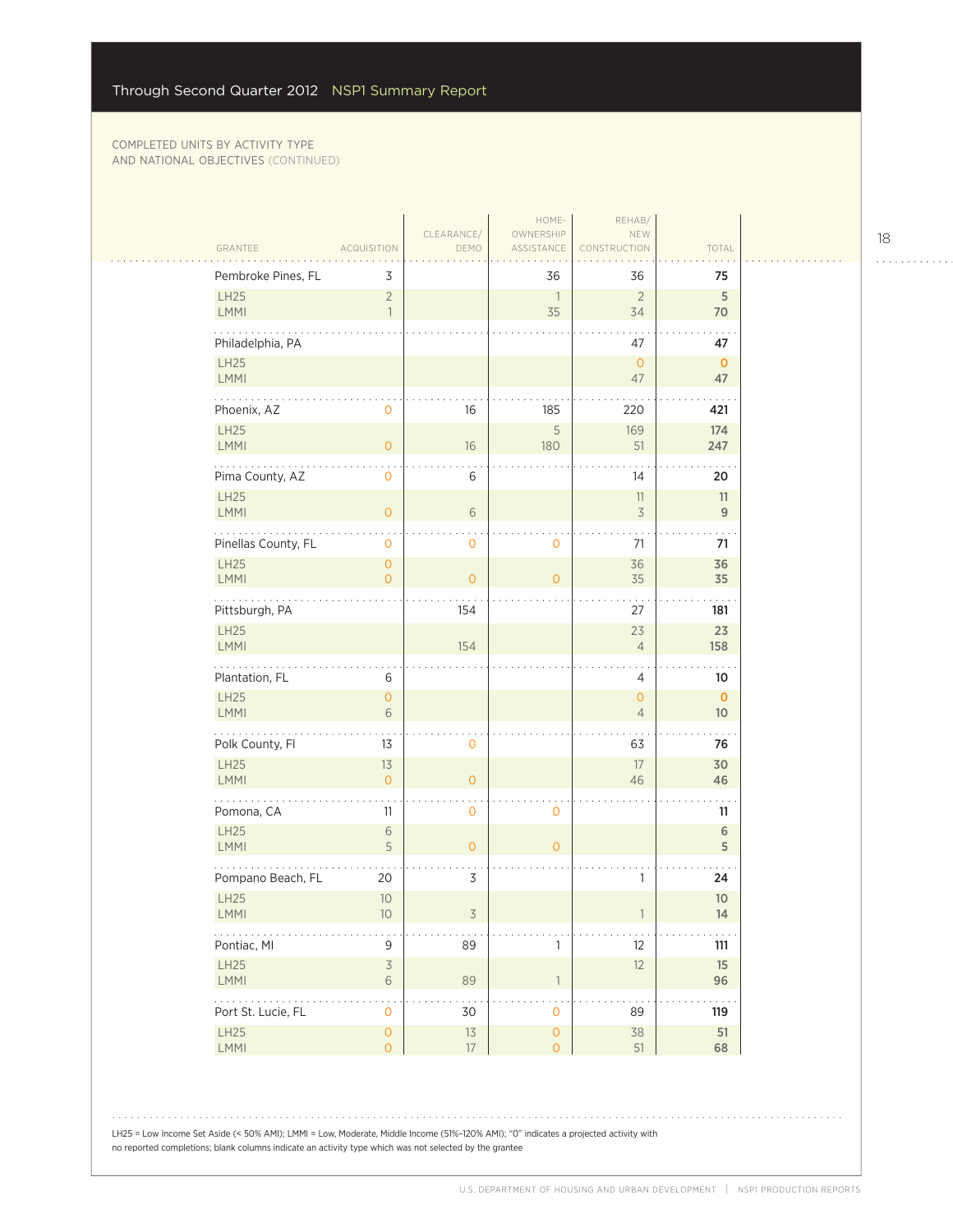$\sim$  .  $\sim$ 

|                            |                                            |                    | HOME-                                 | REHAB/                                |                                 |
|----------------------------|--------------------------------------------|--------------------|---------------------------------------|---------------------------------------|---------------------------------|
| GRANTEE                    | <b>ACQUISITION</b>                         | CLEARANCE/<br>DEMO | OWNERSHIP<br>ASSISTANCE               | NEW<br>CONSTRUCTION                   | TOTAL                           |
| Pembroke Pines, FL         | 3                                          |                    | 36                                    | 36                                    | 75                              |
| <b>LH25</b><br>LMMI        | $\overline{2}$<br>$\overline{1}$           |                    | $\overline{1}$<br>35                  | $\overline{2}$<br>34                  | $5\phantom{.0}$<br>70           |
| Philadelphia, PA           |                                            |                    |                                       | 47                                    | 47                              |
| LH25<br>LMMI               |                                            |                    |                                       | $\overline{0}$<br>47                  | $\mathbf{0}$<br>47              |
| .<br>Phoenix, AZ           | 0                                          | 16                 | 185                                   | 220                                   | 421                             |
| LH25<br><b>LMMI</b>        | $\overline{O}$                             | 16                 | 5<br>180                              | 169<br>51                             | 174<br>247                      |
| Pima County, AZ            | 0                                          | 6                  |                                       | 14                                    | 20                              |
| <b>LH25</b><br><b>LMMI</b> | $\overline{O}$                             | $6\,$              |                                       | 11<br>$\overline{3}$                  | 11<br>$\overline{9}$            |
| Pinellas County, FL        | 0                                          | 0                  | $\mathbf 0$                           | 71                                    | 71                              |
| LH25<br>LMMI               | $\overline{0}$<br>$\overline{O}$           | $\mathbf{O}$       | $\overline{0}$                        | 36<br>35                              | 36<br>35                        |
| Pittsburgh, PA             |                                            | 154                |                                       | 27                                    | 181                             |
| LH25<br>LMMI               |                                            | 154                |                                       | 23<br>$\overline{4}$                  | 23<br>158                       |
| Plantation, FL             | 6                                          |                    |                                       | 4                                     | 10                              |
| <b>LH25</b><br>LMMI        | $\mathsf O$<br>6                           |                    |                                       | $\mathsf{O}\xspace$<br>$\overline{4}$ | $\mathbf{0}$<br>10 <sup>°</sup> |
| .<br>Polk County, Fl       | 13                                         | 0                  |                                       | 63                                    | 76                              |
| LH25<br><b>LMMI</b>        | 13<br>$\overline{O}$                       | $\overline{O}$     |                                       | 17<br>46                              | 30<br>46                        |
| Pomona, CA                 | 11                                         | 0                  | $\mathbf 0$                           |                                       | 11                              |
| LH25<br>LMMI               | $\sqrt{6}$<br>5                            | $\overline{O}$     | $\mathbf{O}$                          |                                       | $6\,$<br>5                      |
| Pompano Beach, FL          | 20                                         | 3                  |                                       | 1                                     | 24                              |
| <b>LH25</b><br><b>LMMI</b> | $10$<br>10                                 | 3                  |                                       |                                       | 10 <sup>°</sup><br>14           |
| Pontiac, MI                | $\mathsf 9$                                | 89                 | 1                                     | 12                                    | 111                             |
| LH25<br>LMMI               | $\overline{\mathcal{S}}$<br>$\,$ $\,$ $\,$ | 89                 | $\overline{\phantom{a}}$              | 12                                    | 15<br>96                        |
| .<br>Port St. Lucie, FL    | $\mathsf O$                                | 30                 | $\mathsf O$                           | 89                                    | 119                             |
| LH25<br>LMMI               | $\mathsf{O}\xspace$<br>$\overline{O}$      | $13$<br>17         | $\mathsf{O}\xspace$<br>$\overline{O}$ | 38<br>51                              | 51<br>68                        |
|                            |                                            |                    |                                       |                                       |                                 |

LH25 = Low Income Set Aside (< 50% AMI); LMMI = Low, Moderate, Middle Income (51%–120% AMI); "0" indicates a projected activity with no reported completions; blank columns indicate an activity type which was not selected by the grantee

18

. . . . . . . . . . . .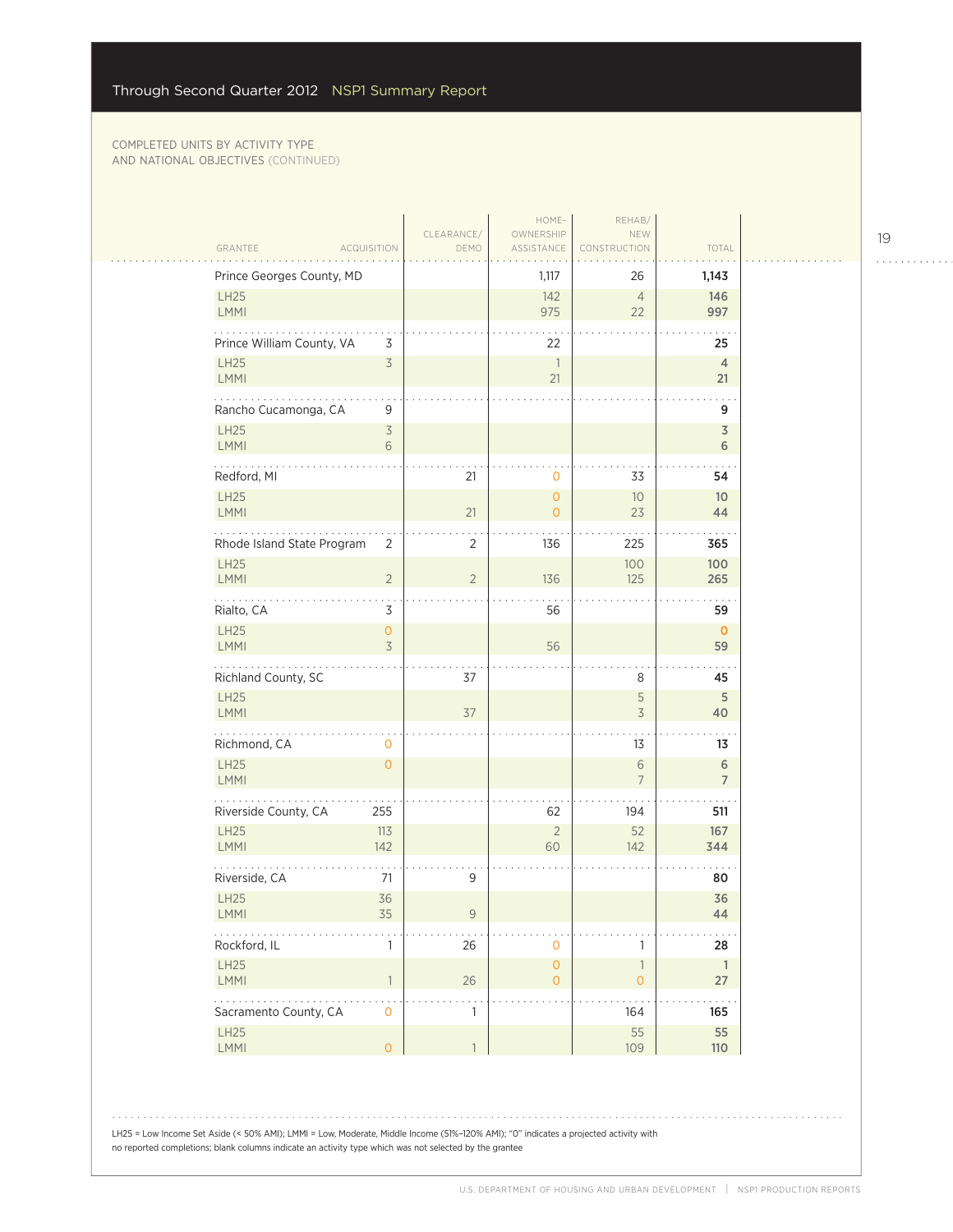| GRANTEE<br><b>ACQUISITION</b>                                                          | CLEARANCE/<br>DEMO  | HOME-<br>OWNERSHIP<br>ASSISTANCE      | REHAB/<br>NEW<br>CONSTRUCTION                    | TOTAL                      |
|----------------------------------------------------------------------------------------|---------------------|---------------------------------------|--------------------------------------------------|----------------------------|
| Prince Georges County, MD                                                              |                     | 1,117                                 | 26                                               | 1,143                      |
| LH25<br><b>LMMI</b>                                                                    |                     | 142<br>975                            | $\overline{4}$<br>22                             | 146<br>997                 |
| Prince William County, VA<br>3<br>$\overline{\mathcal{S}}$<br><b>LH25</b><br>LMMI      |                     | 22<br>$\overline{1}$<br>21            |                                                  | 25<br>$\overline{4}$<br>21 |
| .<br>Rancho Cucamonga, CA<br>9<br><b>LH25</b><br>$\overline{\mathcal{S}}$<br>LMMI<br>6 |                     |                                       |                                                  | 9<br>$\overline{3}$<br>6   |
| Redford, MI                                                                            | 21                  | $\mathbf 0$                           | 33                                               | 54                         |
| <b>LH25</b><br><b>LMMI</b>                                                             | 21                  | $\overline{O}$<br>$\overline{0}$      | 10<br>23                                         | 10 <sup>°</sup><br>44      |
| Rhode Island State Program<br>2<br><b>LH25</b><br>$\overline{2}$<br>LMMI               | 2<br>$\overline{2}$ | 136<br>136                            | 225<br>100<br>125                                | 365<br>100<br>265          |
| $\cdots$<br>3<br>Rialto, CA                                                            |                     | 56                                    |                                                  | 59                         |
| LH25<br>$\mathsf{O}\xspace$<br>LMMI<br>3                                               |                     | 56                                    |                                                  | $\mathbf 0$<br>59          |
| Richland County, SC                                                                    | 37                  |                                       | 8                                                | 45                         |
| LH25<br><b>LMMI</b>                                                                    | 37                  |                                       | 5<br>$\preceq$                                   | 5<br>40                    |
| .<br>Richmond, CA<br>0                                                                 |                     |                                       | 13                                               | 13                         |
| LH25<br>$\overline{O}$<br><b>LMMI</b>                                                  |                     |                                       | 6<br>$\overline{7}$                              | 6<br>$\overline{7}$        |
| Riverside County, CA<br>255                                                            |                     | 62                                    | 194                                              | 511                        |
| <b>LH25</b><br>113<br><b>LMMI</b><br>142                                               |                     | $\overline{2}$<br>60                  | 52<br>142                                        | 167<br>344                 |
| Riverside, CA<br>71                                                                    | 9                   |                                       |                                                  | 80                         |
| LH25<br>36<br><b>LMMI</b><br>35                                                        | 9                   |                                       |                                                  | 36<br>44                   |
| Rockford, IL<br>1                                                                      | 26                  | $\mathsf{O}\xspace$                   | 1                                                | 28                         |
| LH25<br>LMMI<br>$\mathbf{1}$                                                           | 26                  | $\mathsf{O}\xspace$<br>$\overline{O}$ | $\ensuremath{\mathbb{I}}$<br>$\mathsf{O}\xspace$ | $\overline{1}$<br>27       |
| 2020-2021<br>Sacramento County, CA<br>$\mathsf{O}\xspace$                              | $\mathbf{1}$        |                                       | 164                                              | $\sim$ $\sim$<br>165       |
| LH25<br>$\mathsf{O}\xspace$<br>LMMI                                                    | $\mathbb{1}$        |                                       | 55<br>109                                        | 55<br>110                  |

LH25 = Low Income Set Aside (< 50% AMI); LMMI = Low, Moderate, Middle Income (51%–120% AMI); "0" indicates a projected activity with no reported completions; blank columns indicate an activity type which was not selected by the grantee

19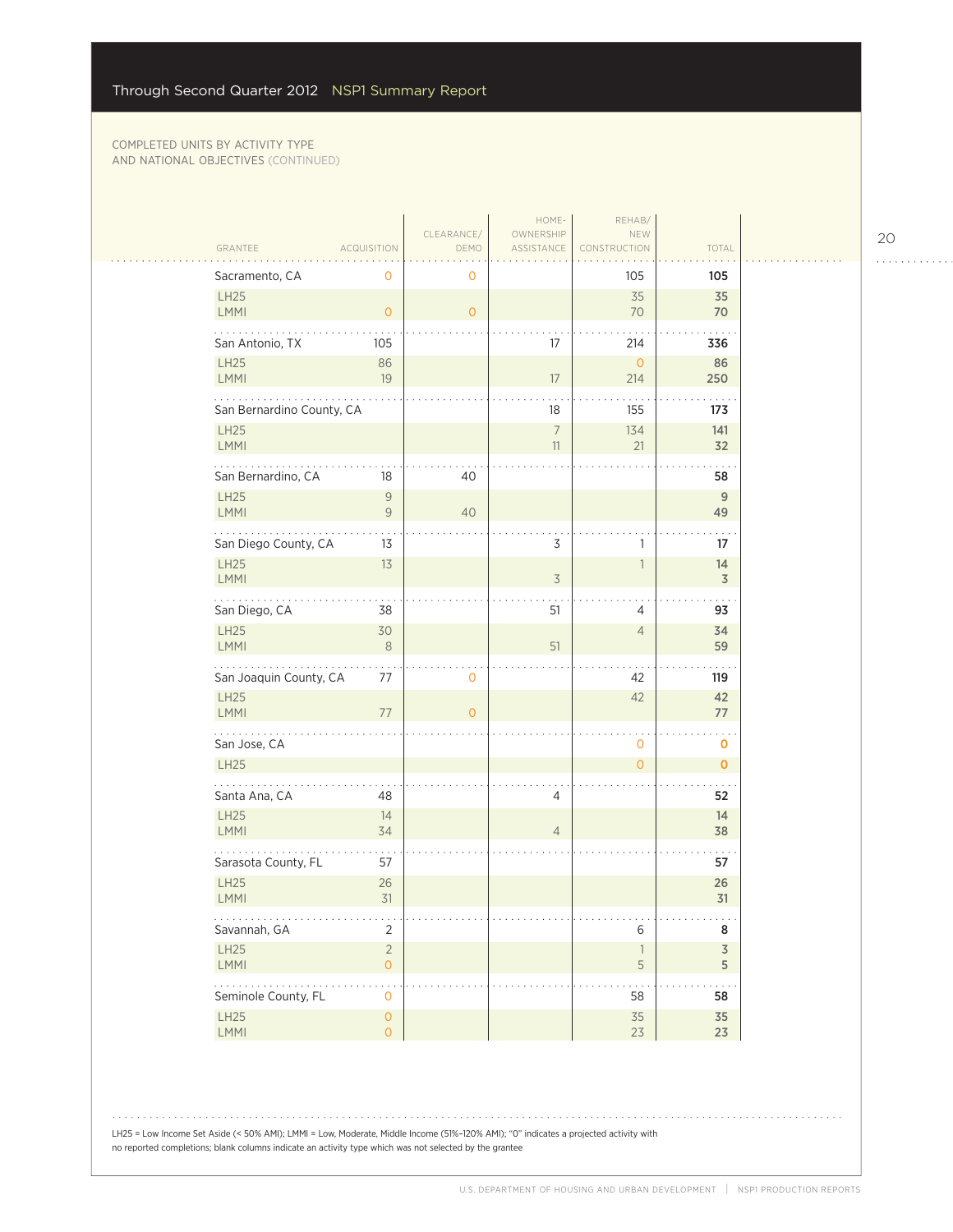|                                                             |                                  |                    | HOME-                   | REHAB/                        |                              |
|-------------------------------------------------------------|----------------------------------|--------------------|-------------------------|-------------------------------|------------------------------|
| GRANTEE                                                     | <b>ACQUISITION</b>               | CLEARANCE/<br>DEMO | OWNERSHIP<br>ASSISTANCE | NEW<br>CONSTRUCTION           | TOTAL                        |
| Sacramento, CA                                              | $\mathbf 0$                      | $\mathbf 0$        |                         | 105                           | 105                          |
| LH25<br>LMMI                                                | $\overline{0}$                   | $\overline{O}$     |                         | 35<br>70                      | 35<br>70                     |
| San Antonio, TX                                             | 105                              |                    | 17                      | 214                           | 336                          |
| LH25<br>LMMI                                                | 86<br>19                         |                    | $17\,$                  | $\overline{O}$<br>214         | 86<br>250                    |
| .<br>San Bernardino County, CA                              |                                  |                    | 18                      | 155                           | 173                          |
| LH25<br>LMMI                                                |                                  |                    | $\overline{7}$<br>11    | 134<br>21                     | 141<br>32                    |
| San Bernardino, CA                                          | 18                               | 40                 |                         |                               | 58                           |
| <b>LH25</b><br><b>LMMI</b>                                  | $\mathcal G$<br>$\mathsf 9$      | 40                 |                         |                               | $\mathsf{9}$<br>49           |
| San Diego County, CA                                        | 13                               |                    | 3                       | 1                             | 17                           |
| LH25<br><b>LMMI</b>                                         | 13                               |                    | $\overline{3}$          | $\mathbbm{1}$                 | 14<br>$\mathfrak Z$          |
| $\mathbb{Z}^2$ . The set of $\mathbb{Z}^2$<br>San Diego, CA | 38                               |                    | 51                      | 4                             | 93                           |
| LH25<br>LMMI                                                | 30<br>$\,8\,$                    |                    | 51                      | $\overline{4}$                | 34<br>59                     |
| San Joaquin County, CA                                      | 77                               | 0                  |                         | 42                            | 119                          |
| LH25<br>LMMI                                                | 77                               | $\overline{0}$     |                         | 42                            | 42<br>77                     |
| .<br>San Jose, CA                                           |                                  |                    |                         | $\mathbf{O}$                  | 0                            |
| <b>LH25</b>                                                 |                                  |                    |                         | $\overline{O}$                | $\mathbf 0$                  |
| Santa Ana, CA                                               | 48                               |                    | 4                       |                               | 52                           |
| LH25<br><b>LMMI</b>                                         | 14<br>34                         |                    | $\overline{4}$          |                               | 14<br>38                     |
| Sarasota County, FL                                         | 57                               |                    |                         |                               | 57                           |
| LH25<br><b>LMMI</b>                                         | 26<br>31                         |                    |                         |                               | 26<br>31                     |
| .<br>Savannah, GA                                           | $\ddotsc$<br>$\overline{2}$      |                    |                         | 6                             | $\sim$ $\sim$<br>8           |
| LH25<br>LMMI                                                | $\sqrt{2}$<br>$\circ$            |                    |                         | $\overline{\phantom{a}}$<br>5 | $\overline{3}$<br>$\sqrt{5}$ |
| .<br>Seminole County, FL                                    | $\mathbf 0$                      |                    |                         | 58                            | 58                           |
| LH25<br>LMMI                                                | $\overline{0}$<br>$\overline{0}$ |                    |                         | 35<br>23                      | 35<br>23                     |

LH25 = Low Income Set Aside (< 50% AMI); LMMI = Low, Moderate, Middle Income (51%–120% AMI); "0" indicates a projected activity with no reported completions; blank columns indicate an activity type which was not selected by the grantee

20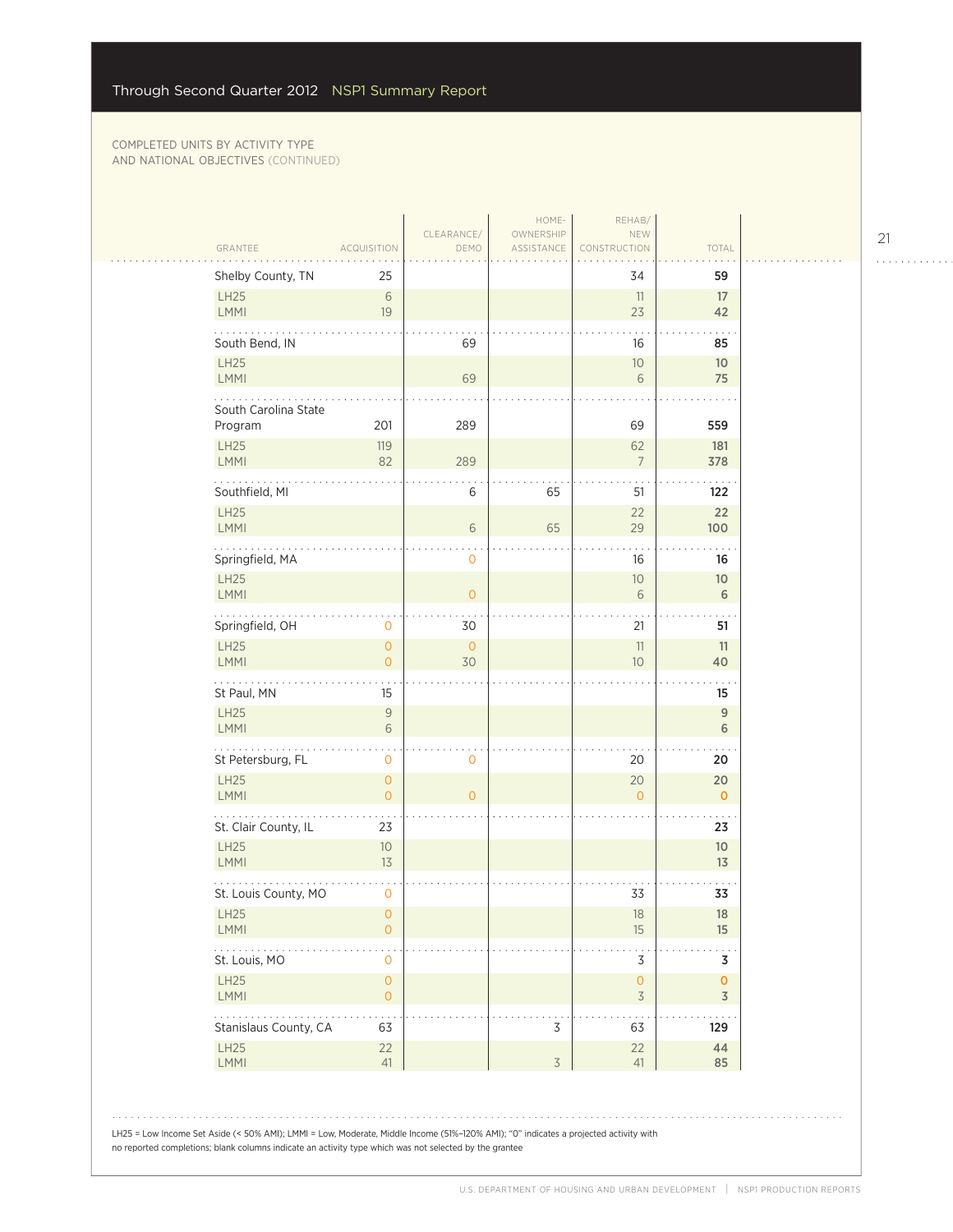| GRANTEE                         | <b>ACQUISITION</b>                                              | CLEARANCE/<br>DEMO | HOME-<br>OWNERSHIP<br>ASSISTANCE | REHAB/<br>NEW<br>CONSTRUCTION              | TOTAL                 |  |
|---------------------------------|-----------------------------------------------------------------|--------------------|----------------------------------|--------------------------------------------|-----------------------|--|
| Shelby County, TN               | 25                                                              |                    |                                  | 34                                         | 59                    |  |
| LH25<br>LMMI                    | 6<br>19                                                         |                    |                                  | 11<br>23                                   | 17<br>42              |  |
| South Bend, IN                  |                                                                 | 69                 |                                  | 16                                         | 85                    |  |
| LH25<br>LMMI                    |                                                                 | 69                 |                                  | 10 <sup>°</sup><br>6                       | 10 <sup>°</sup><br>75 |  |
| South Carolina State<br>Program | 201                                                             | 289                |                                  | 69                                         | 559                   |  |
| LH25<br>LMMI                    | 119<br>82                                                       | 289                |                                  | 62<br>$\overline{7}$                       | 181<br>378            |  |
| Southfield, MI                  |                                                                 | 6                  | 65                               | 51                                         | 122                   |  |
| LH25<br>LMMI                    |                                                                 | 6                  | 65                               | 22<br>29                                   | 22<br>100             |  |
| Springfield, MA                 |                                                                 | $\mathbf 0$        |                                  | 16                                         | 16                    |  |
| LH25<br><b>LMMI</b>             |                                                                 | $\overline{0}$     |                                  | 10<br>6                                    | 10 <sup>°</sup><br>6  |  |
| Springfield, OH<br>LH25         | 0<br>$\circ$                                                    | 30<br>$\circ$      |                                  | 21<br>11                                   | 51<br>11              |  |
| LMMI                            | $\overline{O}$                                                  | 30                 |                                  | 10                                         | 40                    |  |
| St Paul, MN<br>LH25             | 15<br>$\mathcal{G}% _{M_{1},M_{2}}^{\alpha,\beta}(\varepsilon)$ |                    |                                  |                                            | 15<br>$\overline{9}$  |  |
| LMMI<br>.                       | 6                                                               |                    |                                  |                                            | 6                     |  |
| St Petersburg, FL<br>LH25       | 0<br>$\mathsf{O}\xspace$                                        | $\mathbf 0$        |                                  | 20<br>20                                   | 20<br>20              |  |
| <b>LMMI</b>                     | $\overline{O}$                                                  | $\overline{O}$     |                                  | $\Omega$                                   | $\mathbf{0}$          |  |
| St. Clair County, IL<br>LH25    | 23<br>10                                                        |                    |                                  |                                            | 23<br>10 <sup>°</sup> |  |
| LMMI                            | 13                                                              |                    |                                  |                                            | 13                    |  |
| St. Louis County, MO<br>LH25    | 0<br>0                                                          |                    |                                  | 33<br>18                                   | 33<br>18              |  |
| LMMI                            | $\overline{O}$                                                  |                    |                                  | 15                                         | 15                    |  |
| St. Louis, MO<br>LH25<br>LMMI   | $\mathbf 0$<br>$\mathsf{O}\xspace$<br>$\circ$                   |                    |                                  | 3<br>$\mathsf{O}\xspace$<br>$\overline{3}$ | 3<br>$\mathbf 0$<br>3 |  |
| Stanislaus County, CA           | 63                                                              |                    | 3                                | 63                                         | 129                   |  |
| LH25<br><b>LMMI</b>             | 22<br>41                                                        |                    | $\overline{3}$                   | 22<br>41                                   | 44<br>85              |  |
|                                 |                                                                 |                    |                                  |                                            |                       |  |
|                                 |                                                                 |                    |                                  |                                            |                       |  |

21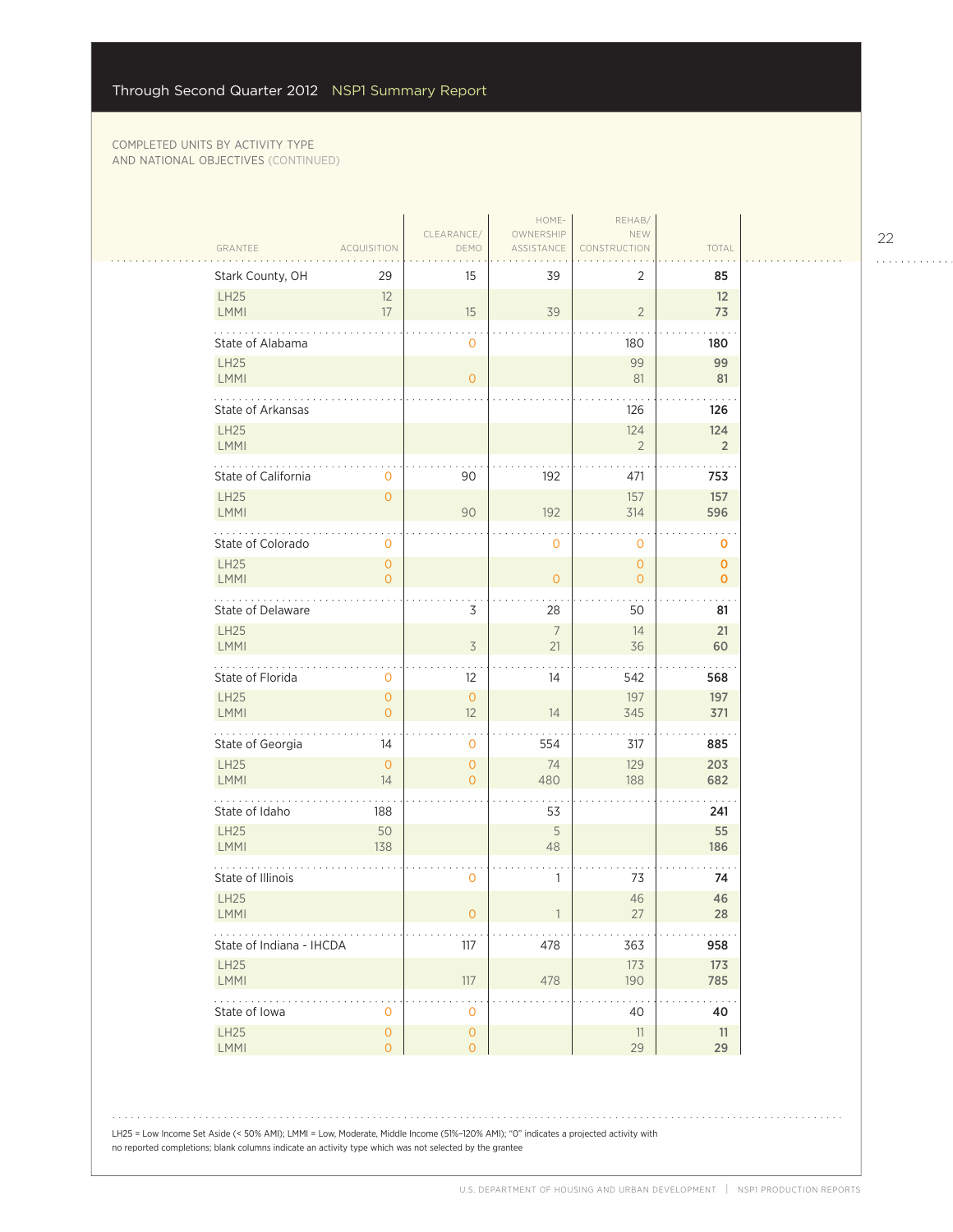$\sim$  .

| GRANTEE<br><b>ACQUISITION</b><br>DEMO<br>ASSISTANCE<br>CONSTRUCTION<br>Stark County, OH<br>15<br>39<br>2<br>29<br>LH25<br>12<br>39<br>LMMI<br>17<br>15<br>$\overline{2}$<br>State of Alabama<br>$\mathbf{0}$<br>180 | TOTAL<br>85<br>12<br>73    |
|---------------------------------------------------------------------------------------------------------------------------------------------------------------------------------------------------------------------|----------------------------|
|                                                                                                                                                                                                                     |                            |
|                                                                                                                                                                                                                     |                            |
|                                                                                                                                                                                                                     |                            |
|                                                                                                                                                                                                                     | 180                        |
| <b>LH25</b><br>99<br>LMMI<br>81<br>$\overline{O}$                                                                                                                                                                   | 99<br>81                   |
| .<br><b>State of Arkansas</b><br>126                                                                                                                                                                                | 126                        |
| <b>LH25</b><br>124<br>LMMI<br>$\overline{2}$                                                                                                                                                                        | 124<br>$\overline{2}$      |
| State of California<br>90<br>192<br>471<br>$\mathbf{0}$                                                                                                                                                             | 753                        |
| <b>LH25</b><br>$\overline{0}$<br>157<br>LMMI<br>90<br>192<br>314                                                                                                                                                    | 157<br>596                 |
| State of Colorado<br>0<br>0<br>0                                                                                                                                                                                    | 0                          |
| <b>LH25</b><br>$\overline{O}$<br>$\overline{0}$<br>LMMI<br>$\overline{O}$<br>$\mathbf 0$<br>0                                                                                                                       | $\mathbf 0$<br>$\mathbf 0$ |
| .<br>3<br>State of Delaware<br>28<br>50                                                                                                                                                                             | 81                         |
| <b>LH25</b><br>$7\overline{ }$<br>14<br>$\overline{3}$<br>LMMI<br>21<br>36                                                                                                                                          | 21<br>60                   |
| State of Florida<br>12<br>14<br>542<br>$\mathbf{0}$                                                                                                                                                                 | 568                        |
| <b>LH25</b><br>$\overline{0}$<br>$\overline{O}$<br>197<br>LMMI<br>$\Omega$<br>12<br>14<br>345                                                                                                                       | 197<br>371                 |
| .<br>State of Georgia<br>554<br>14<br>$\mathbf{0}$<br>317                                                                                                                                                           | 885                        |
| <b>LH25</b><br>$\overline{0}$<br>$\overline{O}$<br>74<br>129<br>LMMI<br>14<br>480<br>$\overline{O}$<br>188                                                                                                          | 203<br>682                 |
| State of Idaho<br>53<br>188                                                                                                                                                                                         | 241                        |
| 5<br><b>LH25</b><br>50<br>LMMI<br>138<br>48                                                                                                                                                                         | 55<br>186                  |
| State of Illinois<br>0<br>1<br>73                                                                                                                                                                                   | 74                         |
| <b>LH25</b><br>46<br><b>LMMI</b><br>$\mathbf 0$<br>27                                                                                                                                                               | 46<br>28                   |
| 478<br>State of Indiana - IHCDA<br>117<br>363                                                                                                                                                                       | 958                        |
| <b>LH25</b><br>173<br>LMMI<br>117<br>190<br>478                                                                                                                                                                     | 173<br>785                 |
| 2020-20<br>State of Iowa<br>40<br>$\mathbf 0$<br>$\mathbf 0$                                                                                                                                                        | 40                         |
| $\mathsf{O}\xspace$<br>LH25<br>$\mathsf{O}\xspace$<br>11<br>29<br>LMMI<br>$\mathsf{O}\xspace$<br>$\overline{O}$                                                                                                     | 11<br>29                   |

LH25 = Low Income Set Aside (< 50% AMI); LMMI = Low, Moderate, Middle Income (51%–120% AMI); "0" indicates a projected activity with no reported completions; blank columns indicate an activity type which was not selected by the grantee

22

. . . . . . . . . . . .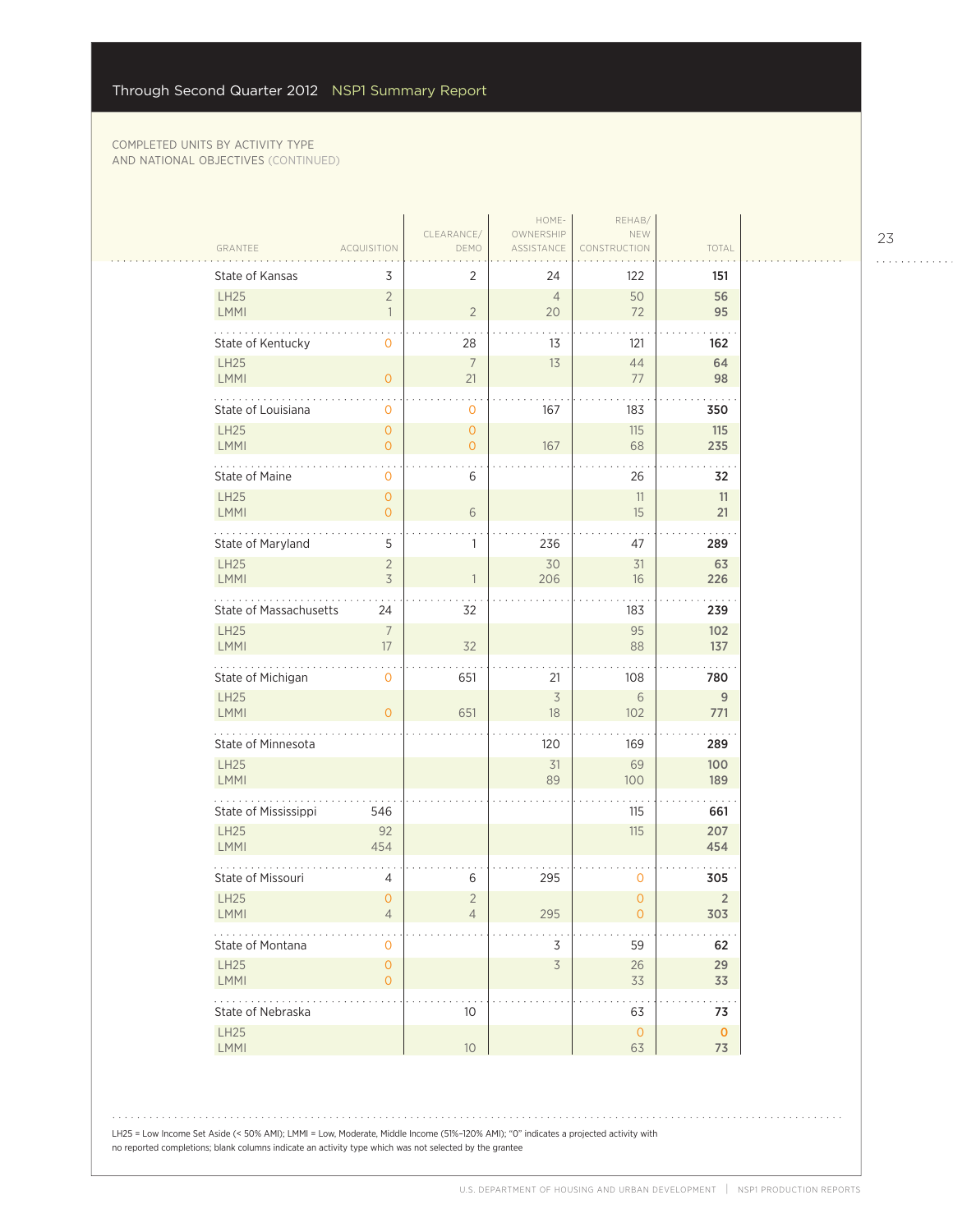$\sim$  .

| GRANTEE                       | <b>ACQUISITION</b>                    | CLEARANCE/<br>DEMO               | HOME-<br>OWNERSHIP<br>ASSISTANCE | REHAB/<br>NEW<br>CONSTRUCTION | TOTAL                 |  |
|-------------------------------|---------------------------------------|----------------------------------|----------------------------------|-------------------------------|-----------------------|--|
| State of Kansas               | 3                                     | 2                                | 24                               | 122                           | 151                   |  |
| LH25<br>LMMI                  | $\overline{2}$<br>$\mathbf{1}$        | $\overline{2}$                   | $\overline{4}$<br>20             | 50<br>72                      | 56<br>95              |  |
| State of Kentucky             | 0                                     | 28                               | 13                               | 121                           | 162                   |  |
| LH25<br>LMMI                  | $\overline{O}$                        | 7<br>21                          | 13                               | 44<br>77                      | 64<br>98              |  |
| State of Louisiana            | 0                                     | 0                                | 167                              | 183                           | 350                   |  |
| LH25<br><b>LMMI</b>           | $\overline{O}$<br>$\overline{O}$      | $\overline{O}$<br>$\overline{O}$ | 167                              | 115<br>68                     | 115<br>235            |  |
| State of Maine                | 0                                     | 6                                |                                  | 26                            | 32                    |  |
| <b>LH25</b><br>LMMI           | $\mathbf{O}$<br>$\overline{O}$        | 6                                |                                  | 11<br>15                      | 11<br>21              |  |
| State of Maryland             | 5                                     | 1                                | 236                              | 47                            | 289                   |  |
| LH25<br><b>LMMI</b>           | $\overline{2}$<br>$\overline{3}$      | 1                                | 30<br>206                        | 31<br>16                      | 63<br>226             |  |
| <b>State of Massachusetts</b> | 24                                    | 32                               |                                  | 183                           | 239                   |  |
| <b>LH25</b><br><b>LMMI</b>    | $\overline{7}$<br>17                  | 32                               |                                  | 95<br>88                      | 102<br>137            |  |
| State of Michigan             | 0                                     | 651                              | 21                               | 108                           | 780                   |  |
| <b>LH25</b><br><b>LMMI</b>    | $\overline{O}$                        | 651                              | $\overline{\mathcal{S}}$<br>18   | $6\,$<br>102                  | 9<br>771              |  |
| State of Minnesota            |                                       |                                  | 120                              | 169                           | 289                   |  |
| LH25<br><b>LMMI</b>           |                                       |                                  | 31<br>89                         | 69<br>100                     | 100<br>189            |  |
| State of Mississippi          | 546                                   |                                  |                                  | 115                           | 661                   |  |
| LH25<br><b>LMMI</b>           | 92<br>454                             |                                  |                                  | 115                           | 207<br>454            |  |
| State of Missouri             | 4                                     | 6                                | 295                              | 0                             | 305                   |  |
| LH25<br><b>LMMI</b>           | $\overline{0}$<br>4                   | $\overline{2}$<br>4              | 295                              | $\overline{0}$<br>0           | $\overline{2}$<br>303 |  |
| State of Montana              | 0                                     |                                  | 3                                | 59                            | 62                    |  |
| LH25<br>LMMI                  | $\mathsf{O}\xspace$<br>$\overline{O}$ |                                  | $\overline{\mathcal{S}}$         | $26\,$<br>33                  | 29<br>33              |  |
| State of Nebraska             |                                       | 10                               |                                  | 63                            | 73                    |  |
| LH25<br>LMMI                  |                                       | 10 <sup>°</sup>                  |                                  | $\mathsf O$<br>63             | $\mathbf 0$<br>73     |  |
|                               |                                       |                                  |                                  |                               |                       |  |

. . . . . . . . . . . . . . . . . . . . . .

23

LH25 = Low Income Set Aside (< 50% AMI); LMMI = Low, Moderate, Middle Income (51%–120% AMI); "0" indicates a projected activity with no reported completions; blank columns indicate an activity type which was not selected by the grantee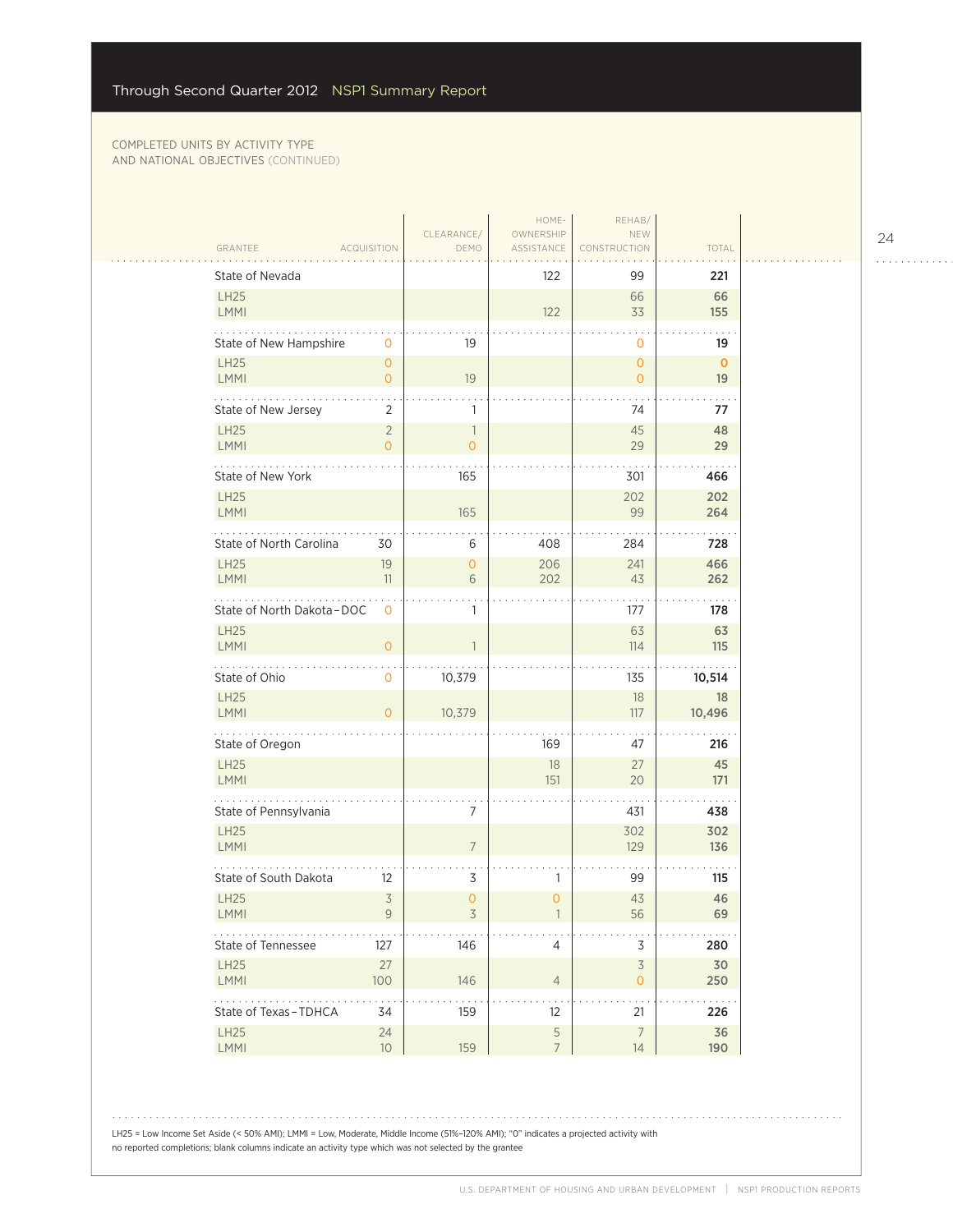$\sim$  . . . .

|                            |                               |                                            | HOME-                   | REHAB/                        |                    |
|----------------------------|-------------------------------|--------------------------------------------|-------------------------|-------------------------------|--------------------|
| GRANTEE                    | <b>ACQUISITION</b>            | CLEARANCE/<br>DEMO                         | OWNERSHIP<br>ASSISTANCE | NEW<br>CONSTRUCTION           | TOTAL              |
| State of Nevada            |                               |                                            | 122                     | 99                            | 221                |
| LH25<br><b>LMMI</b>        |                               |                                            | 122                     | 66<br>33                      | 66<br>155          |
| State of New Hampshire     | 0                             | 19                                         |                         | 0                             | 19                 |
| LH25<br>LMMI               | $\overline{0}$<br>$\mathbf 0$ | 19                                         |                         | $\mathbf 0$<br>$\overline{O}$ | $\mathbf{0}$<br>19 |
| State of New Jersey        | 2                             | 1                                          |                         | 74                            | 77                 |
| LH25<br>LMMI               | $\sqrt{2}$<br>$\overline{0}$  | $\overline{\phantom{a}}$<br>$\overline{0}$ |                         | 45<br>29                      | 48<br>29           |
| State of New York          |                               | 165                                        |                         | 301                           | 466                |
| <b>LH25</b><br><b>LMMI</b> |                               | 165                                        |                         | 202<br>99                     | 202<br>264         |
| State of North Carolina    | 30                            | 6                                          | 408                     | 284                           | 728                |
| LH25<br><b>LMMI</b>        | 19<br>11                      | $\overline{0}$<br>6                        | 206<br>202              | 241<br>43                     | 466<br>262         |
| State of North Dakota-DOC  | $\mathbf 0$                   | 1                                          |                         | 177                           | 178                |
| <b>LH25</b><br>LMMI        | $\overline{O}$                | 1                                          |                         | 63<br>114                     | 63<br>115          |
| State of Ohio              | 0                             | 10,379                                     |                         | 135                           | 10,514             |
| LH25<br>LMMI               | $\overline{0}$                | 10,379                                     |                         | 18<br>117                     | 18<br>10,496       |
| .<br>State of Oregon       |                               |                                            | 169                     | 47                            | 216                |
| LH25<br><b>LMMI</b>        |                               |                                            | 18<br>151               | 27<br>20                      | 45<br>171          |
| State of Pennsylvania      |                               | 7                                          |                         | 431                           | 438                |
| <b>LH25</b><br>LMMI        |                               | $\overline{7}$                             |                         | 302<br>129                    | 302<br>136         |
| State of South Dakota      | 12                            | 3                                          | 1                       | 99                            | 115                |
| <b>LH25</b><br><b>LMMI</b> | $\overline{3}$<br>9           | $\mathbf{O}$<br>3                          | 0                       | 43<br>56                      | 46<br>69           |
| State of Tennessee         | 127                           | 146                                        | $\overline{4}$          | $\mathsf 3$                   | 280                |
| LH25<br>LMMI               | 27<br>100                     | 146                                        | $\overline{4}$          | $\overline{3}$<br>$\circ$     | 30<br>250          |
| State of Texas-TDHCA       | 34                            | 159                                        | 12                      | 21                            | 226                |
| LH25<br>LMMI               | $24\,$<br>$10$                | 159                                        | 5<br>$\overline{7}$     | $\overline{7}$<br>14          | 36<br>190          |

LH25 = Low Income Set Aside (< 50% AMI); LMMI = Low, Moderate, Middle Income (51%–120% AMI); "0" indicates a projected activity with no reported completions; blank columns indicate an activity type which was not selected by the grantee

24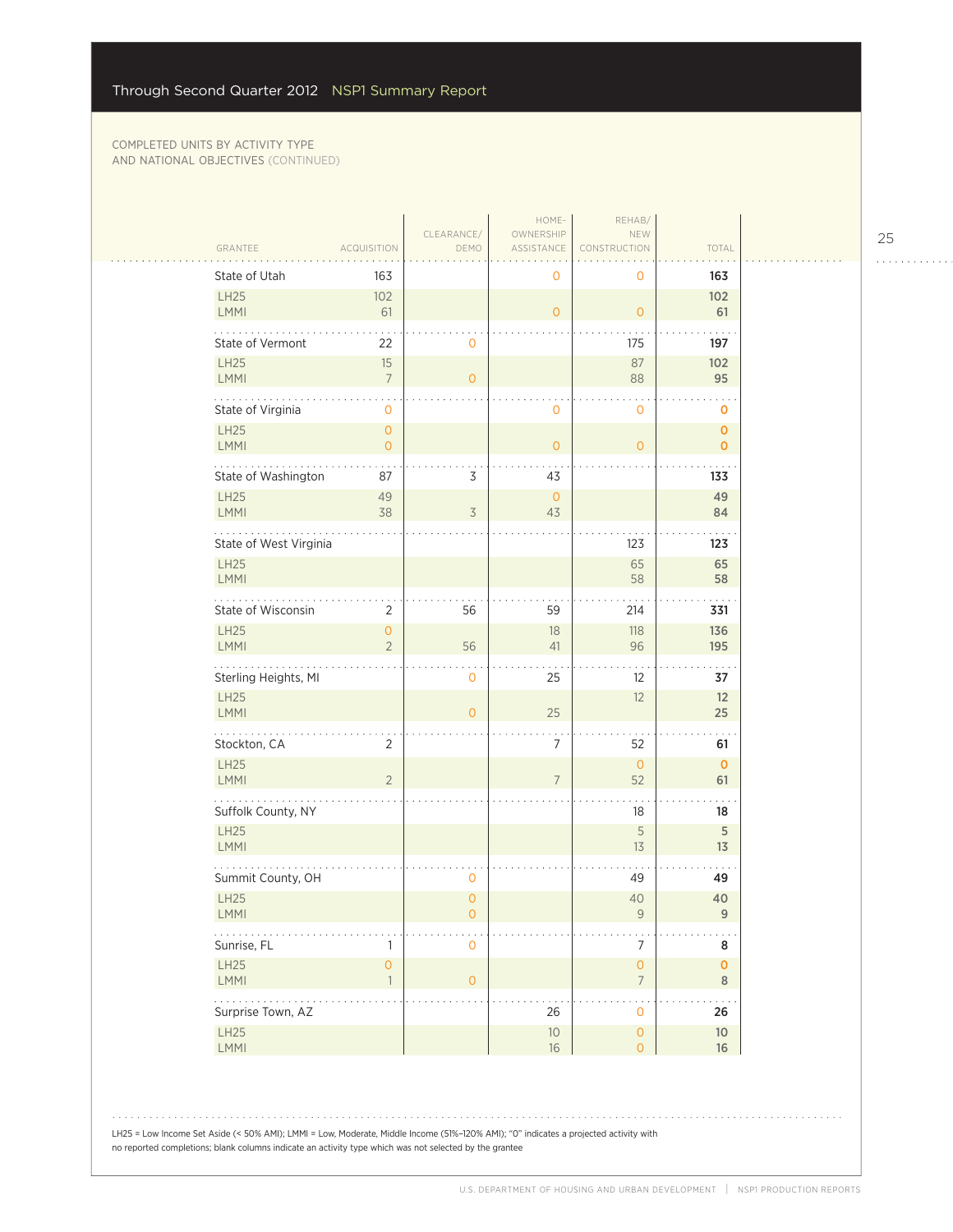|                                                                 |                                | CLEARANCE/          | HOME-<br>OWNERSHIP | REHAB/<br>NEW                               |                               |  |
|-----------------------------------------------------------------|--------------------------------|---------------------|--------------------|---------------------------------------------|-------------------------------|--|
| GRANTEE<br>State of Utah                                        | <b>ACQUISITION</b><br>163      | DEMO                | ASSISTANCE         | <b>RUCTION</b><br>0                         | TOTAL<br>163                  |  |
| LH25                                                            | 102                            |                     | 0                  |                                             | 102                           |  |
| <b>LMMI</b>                                                     | 61                             |                     | $\overline{O}$     | $\overline{O}$                              | 61                            |  |
| State of Vermont                                                | 22                             | $\mathbf 0$         |                    | 175                                         | 197                           |  |
| LH25<br><b>LMMI</b>                                             | $15\,$<br>$\overline{7}$       | $\overline{0}$      |                    | 87<br>88                                    | 102<br>95                     |  |
| State of Virginia                                               | $\mathsf{O}\xspace$            |                     | $\mathbf 0$        | $\mathbf 0$                                 | o                             |  |
| LH25<br>LMMI                                                    | $\mathsf{O}\xspace$            |                     |                    |                                             | $\mathbf{O}$                  |  |
|                                                                 | $\mathsf{O}\xspace$            |                     | $\mathbf{O}$       | $\overline{O}$                              | $\mathbf 0$                   |  |
| State of Washington<br><b>LH25</b>                              | 87<br>49                       | 3                   | 43<br>$\mathbf{O}$ |                                             | 133<br>49                     |  |
| <b>LMMI</b>                                                     | 38                             | 3                   | 43                 |                                             | 84                            |  |
| State of West Virginia                                          |                                |                     |                    | 123                                         | 123                           |  |
| LH25<br><b>LMMI</b>                                             |                                |                     |                    | 65<br>58                                    | 65<br>58                      |  |
| State of Wisconsin                                              | $\overline{2}$                 | 56                  | 59                 | 214                                         | 331                           |  |
| LH25                                                            | 0                              |                     | 18                 | 118                                         | 136                           |  |
| LMMI                                                            | $\overline{2}$                 | 56                  | 41                 | 96                                          | 195                           |  |
| Sterling Heights, MI<br><b>LH25</b>                             |                                | $\mathbf 0$         | 25                 | 12<br>12                                    | 37<br>12                      |  |
| <b>LMMI</b>                                                     |                                | $\overline{O}$      | 25                 |                                             | 25                            |  |
| .<br>Stockton, CA                                               | $\overline{2}$                 |                     | 7                  | 52                                          | 61                            |  |
| LH25<br><b>LMMI</b>                                             | $\overline{2}$                 |                     | $\overline{7}$     | $\mathbf{O}$<br>52                          | $\mathbf 0$<br>61             |  |
| Suffolk County, NY                                              |                                |                     |                    | 18                                          | 18                            |  |
| <b>LH25</b><br>LMMI                                             |                                |                     |                    | 5                                           | 5                             |  |
|                                                                 |                                |                     |                    | 13                                          | 13                            |  |
| Summit County, OH<br><b>LH25</b>                                |                                | 0<br>$\overline{0}$ |                    | 49<br>40                                    | 49<br>40                      |  |
| LMMI                                                            |                                | $\mathsf{O}\xspace$ |                    | $\mathsf{9}$                                | 9                             |  |
| $\mathbb{Z}^2$ , $\mathbb{Z}^2$ , $\mathbb{Z}^2$<br>Sunrise, FL | 1                              | $\mathbf 0$         |                    | $\overline{7}$                              | 8                             |  |
| LH25<br><b>LMMI</b>                                             | $\overline{O}$<br>$\mathbf{1}$ | $\overline{O}$      |                    | $\mathsf{O}\xspace$<br>$\overline{7}$       | $\pmb{\mathsf{O}}$<br>$\,8\,$ |  |
| $\omega$ is a second .<br>Surprise Town, AZ                     |                                |                     | 26                 | $\ddot{\phantom{0}}$<br>$\mathsf{O}\xspace$ | 26                            |  |
| <b>LH25</b><br><b>LMMI</b>                                      |                                |                     | $10$<br>16         | $\mathsf{O}\xspace$<br>$\overline{O}$       | $10$<br>16                    |  |

LH25 = Low Income Set Aside (< 50% AMI); LMMI = Low, Moderate, Middle Income (51%–120% AMI); "0" indicates a projected activity with no reported completions; blank columns indicate an activity type which was not selected by the grantee

25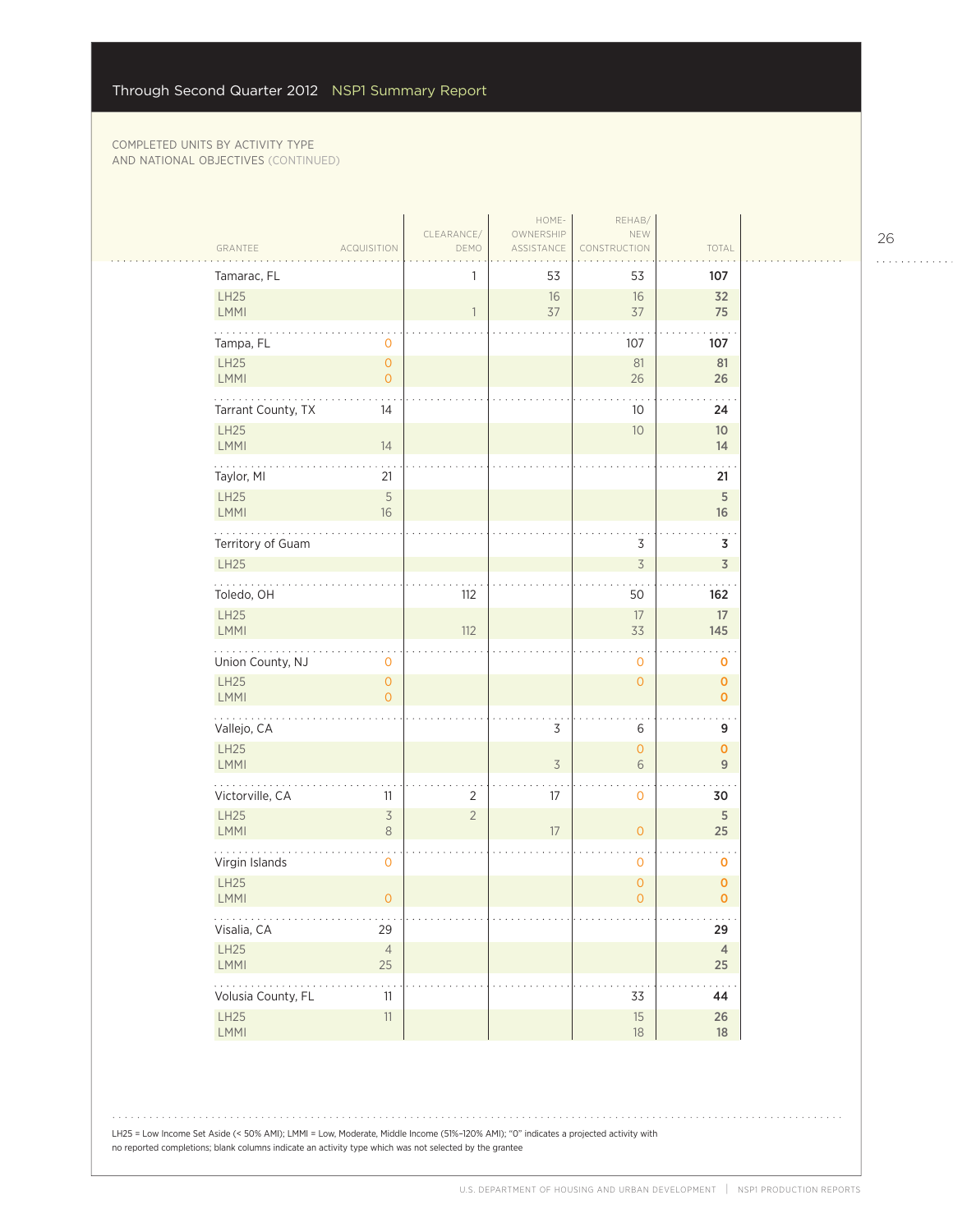| GRANTEE                       | <b>ACQUISITION</b>                  | CLEARANCE/<br>DEMO | HOME-<br>OWNERSHIP<br>ASSISTANCE | REHAB/<br>NEW<br>CONSTRUCTION | TOTAL                             |
|-------------------------------|-------------------------------------|--------------------|----------------------------------|-------------------------------|-----------------------------------|
| Tamarac, FL                   |                                     | 1                  | 53                               | 53                            | 107                               |
| LH25                          |                                     |                    | $16\,$                           | 16                            | 32                                |
| LMMI                          |                                     | $\overline{1}$     | 37                               | 37                            | 75                                |
| Tampa, FL                     | 0                                   |                    |                                  | 107                           | 107                               |
| LH25                          | $\overline{O}$                      |                    |                                  | 81                            | 81                                |
| <b>LMMI</b><br>.              | $\mathsf{O}\xspace$                 |                    |                                  | 26                            | 26                                |
| Tarrant County, TX            | 14                                  |                    |                                  | 10                            | 24                                |
| <b>LH25</b><br><b>LMMI</b>    | 14                                  |                    |                                  | 10                            | $10$<br>14                        |
|                               |                                     |                    |                                  |                               |                                   |
| Taylor, MI<br>LH25            | 21<br>5                             |                    |                                  |                               | 21<br>$\overline{5}$              |
| LMMI                          | 16                                  |                    |                                  |                               | 16                                |
| Territory of Guam             |                                     |                    |                                  | 3                             | 3                                 |
| LH25                          |                                     |                    |                                  | $\overline{3}$                | $\overline{3}$                    |
| .<br>Toledo, OH               |                                     | 112                |                                  | 50                            | 162                               |
| LH25                          |                                     |                    |                                  | 17                            | $17\,$                            |
| <b>LMMI</b>                   |                                     | 112                |                                  | 33                            | 145                               |
| Union County, NJ              | $\mathbf 0$                         |                    |                                  | $\mathbf 0$                   | $\mathbf 0$                       |
| <b>LH25</b><br><b>LMMI</b>    | $\overline{0}$<br>$\Omega$          |                    |                                  | $\mathbf{O}$                  | $\mathbf 0$<br>$\overline{O}$     |
| Vallejo, CA                   |                                     |                    | 3                                | 6                             | 9                                 |
| LH25                          |                                     |                    |                                  | $\overline{O}$                | $\mathbf{o}$                      |
| LMMI                          |                                     |                    | $\overline{3}$                   | 6                             | $\overline{9}$                    |
| Victorville, CA               | 11                                  | $\overline{2}$     | 17                               | 0                             | 30                                |
| LH25<br><b>LMMI</b>           | $\overline{\mathcal{S}}$<br>$\,8\,$ | $\overline{2}$     | 17                               | $\overline{0}$                | 5<br>25                           |
|                               |                                     |                    |                                  |                               |                                   |
| Virgin Islands<br><b>LH25</b> | $\mathbf 0$                         |                    |                                  | $\mathbf 0$<br>$\circ$        | $\mathbf 0$<br>$\pmb{\mathsf{O}}$ |
| <b>LMMI</b>                   | $\overline{0}$                      |                    |                                  | $\overline{0}$                | $\overline{0}$                    |
| .<br>Visalia, CA              | $\sim$ $\sim$ $\sim$<br>29          |                    |                                  |                               | .<br>29                           |
| LH25                          | $\overline{4}$<br>25                |                    |                                  |                               | $\overline{4}$                    |
| LMMI                          |                                     |                    |                                  |                               | $25\,$<br>$\sim$ $\sim$           |
| .                             | .                                   |                    |                                  |                               |                                   |
| Volusia County, FL<br>LH25    | 11<br>11                            |                    |                                  | 33<br>$15\,$                  | 44<br>$26\,$                      |

26

. . . . . . . . . . . .

 $\mathbb{R}$ 

LH25 = Low Income Set Aside (< 50% AMI); LMMI = Low, Moderate, Middle Income (51%–120% AMI); "0" indicates a projected activity with no reported completions; blank columns indicate an activity type which was not selected by the grantee